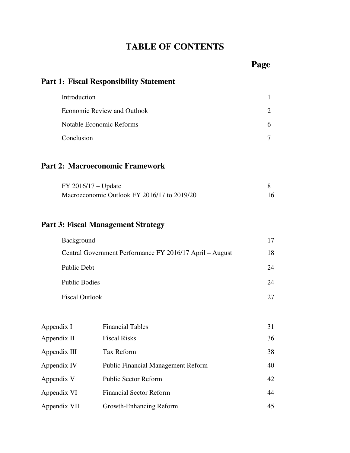# **TABLE OF CONTENTS**

# **Part 1: Fiscal Responsibility Statement**

| Introduction                |   |
|-----------------------------|---|
| Economic Review and Outlook |   |
| Notable Economic Reforms    | h |
| Conclusion                  |   |

## **Part 2: Macroeconomic Framework**

| $FY$ 2016/17 – Update                       |  |
|---------------------------------------------|--|
| Macroeconomic Outlook FY 2016/17 to 2019/20 |  |

# **Part 3: Fiscal Management Strategy**

| Background                                               |    |
|----------------------------------------------------------|----|
| Central Government Performance FY 2016/17 April – August | 18 |
| Public Debt                                              | 24 |
| Public Bodies                                            | 24 |
| <b>Fiscal Outlook</b>                                    |    |

| Appendix I   | <b>Financial Tables</b>                   | 31 |
|--------------|-------------------------------------------|----|
| Appendix II  | <b>Fiscal Risks</b>                       | 36 |
| Appendix III | Tax Reform                                | 38 |
| Appendix IV  | <b>Public Financial Management Reform</b> | 40 |
| Appendix V   | <b>Public Sector Reform</b>               | 42 |
| Appendix VI  | <b>Financial Sector Reform</b>            | 44 |
| Appendix VII | Growth-Enhancing Reform                   | 45 |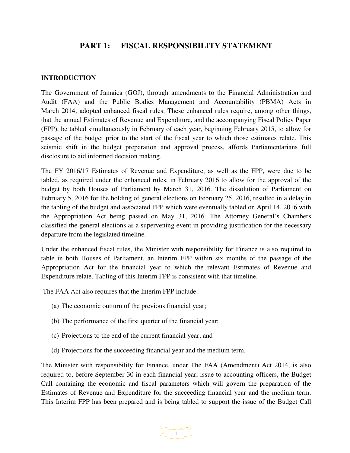### **PART 1: FISCAL RESPONSIBILITY STATEMENT**

#### **INTRODUCTION**

The Government of Jamaica (GOJ), through amendments to the Financial Administration and Audit (FAA) and the Public Bodies Management and Accountability (PBMA) Acts in March 2014, adopted enhanced fiscal rules. These enhanced rules require, among other things, that the annual Estimates of Revenue and Expenditure, and the accompanying Fiscal Policy Paper (FPP), be tabled simultaneously in February of each year, beginning February 2015, to allow for passage of the budget prior to the start of the fiscal year to which those estimates relate. This seismic shift in the budget preparation and approval process, affords Parliamentarians full disclosure to aid informed decision making.

The FY 2016/17 Estimates of Revenue and Expenditure, as well as the FPP, were due to be tabled, as required under the enhanced rules, in February 2016 to allow for the approval of the budget by both Houses of Parliament by March 31, 2016. The dissolution of Parliament on February 5, 2016 for the holding of general elections on February 25, 2016, resulted in a delay in the tabling of the budget and associated FPP which were eventually tabled on April 14, 2016 with the Appropriation Act being passed on May 31, 2016. The Attorney General's Chambers classified the general elections as a supervening event in providing justification for the necessary departure from the legislated timeline.

Under the enhanced fiscal rules, the Minister with responsibility for Finance is also required to table in both Houses of Parliament, an Interim FPP within six months of the passage of the Appropriation Act for the financial year to which the relevant Estimates of Revenue and Expenditure relate. Tabling of this Interim FPP is consistent with that timeline.

The FAA Act also requires that the Interim FPP include:

- (a) The economic outturn of the previous financial year;
- (b) The performance of the first quarter of the financial year;
- (c) Projections to the end of the current financial year; and
- (d) Projections for the succeeding financial year and the medium term.

The Minister with responsibility for Finance, under The FAA (Amendment) Act 2014, is also required to, before September 30 in each financial year, issue to accounting officers, the Budget Call containing the economic and fiscal parameters which will govern the preparation of the Estimates of Revenue and Expenditure for the succeeding financial year and the medium term. This Interim FPP has been prepared and is being tabled to support the issue of the Budget Call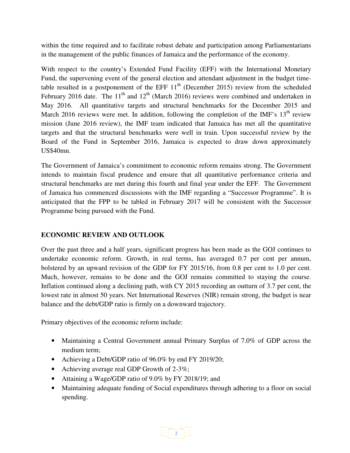within the time required and to facilitate robust debate and participation among Parliamentarians in the management of the public finances of Jamaica and the performance of the economy.

With respect to the country's Extended Fund Facility (EFF) with the International Monetary Fund, the supervening event of the general election and attendant adjustment in the budget timetable resulted in a postponement of the EFF  $11<sup>th</sup>$  (December 2015) review from the scheduled February 2016 date. The  $11<sup>th</sup>$  and  $12<sup>th</sup>$  (March 2016) reviews were combined and undertaken in May 2016. All quantitative targets and structural benchmarks for the December 2015 and March 2016 reviews were met. In addition, following the completion of the IMF's  $13<sup>th</sup>$  review mission (June 2016 review), the IMF team indicated that Jamaica has met all the quantitative targets and that the structural benchmarks were well in train. Upon successful review by the Board of the Fund in September 2016, Jamaica is expected to draw down approximately US\$40mn.

The Government of Jamaica's commitment to economic reform remains strong. The Government intends to maintain fiscal prudence and ensure that all quantitative performance criteria and structural benchmarks are met during this fourth and final year under the EFF. The Government of Jamaica has commenced discussions with the IMF regarding a "Successor Programme". It is anticipated that the FPP to be tabled in February 2017 will be consistent with the Successor Programme being pursued with the Fund.

#### **ECONOMIC REVIEW AND OUTLOOK**

Over the past three and a half years, significant progress has been made as the GOJ continues to undertake economic reform. Growth, in real terms, has averaged 0.7 per cent per annum, bolstered by an upward revision of the GDP for FY 2015/16, from 0.8 per cent to 1.0 per cent. Much, however, remains to be done and the GOJ remains committed to staying the course. Inflation continued along a declining path, with CY 2015 recording an outturn of 3.7 per cent, the lowest rate in almost 50 years. Net International Reserves (NIR) remain strong, the budget is near balance and the debt/GDP ratio is firmly on a downward trajectory.

Primary objectives of the economic reform include:

- Maintaining a Central Government annual Primary Surplus of 7.0% of GDP across the medium term;
- Achieving a Debt/GDP ratio of 96.0% by end FY 2019/20;
- Achieving average real GDP Growth of 2-3%;
- Attaining a Wage/GDP ratio of 9.0% by FY 2018/19; and
- Maintaining adequate funding of Social expenditures through adhering to a floor on social spending.

 $\geq \lceil \frac{n-m}{2} \rceil$   $\leq$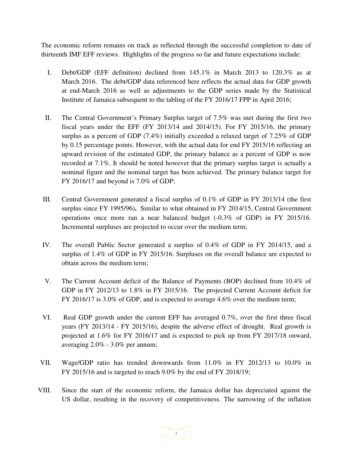The economic reform remains on track as reflected through the successful completion to date of thirteenth IMF EFF reviews. Highlights of the progress so far and future expectations include:

- I. Debt/GDP (EFF definition) declined from 145.1% in March 2013 to 120.3% as at March 2016. The debt/GDP data referenced here reflects the actual data for GDP growth at end-March 2016 as well as adjustments to the GDP series made by the Statistical Institute of Jamaica subsequent to the tabling of the FY 2016/17 FPP in April 2016;
- II. The Central Government's Primary Surplus target of 7.5% was met during the first two fiscal years under the EFF (FY 2013/14 and 2014/15). For FY 2015/16, the primary surplus as a percent of GDP (7.4%) initially exceeded a relaxed target of 7.25% of GDP by 0.15 percentage points. However, with the actual data for end FY 2015/16 reflecting an upward revision of the estimated GDP, the primary balance as a percent of GDP is now recorded at 7.1%. It should be noted however that the primary surplus target is actually a nominal figure and the nominal target has been achieved. The primary balance target for FY 2016/17 and beyond is 7.0% of GDP;
- III. Central Government generated a fiscal surplus of 0.1% of GDP in FY 2013/14 (the first surplus since FY 1995/96)**.** Similar to what obtained in FY 2014/15, Central Government operations once more ran a near balanced budget (-0.3% of GDP) in FY 2015/16. Incremental surpluses are projected to occur over the medium term;
- IV. The overall Public Sector generated a surplus of 0.4% of GDP in FY 2014/15, and a surplus of 1.4% of GDP in FY 2015/16. Surpluses on the overall balance are expected to obtain across the medium term;
- V. The Current Account deficit of the Balance of Payments (BOP) declined from 10.4% of GDP in FY 2012/13 to 1.8% in FY 2015/16. The projected Current Account deficit for FY 2016/17 is 3.0% of GDP, and is expected to average 4.6% over the medium term;
- VI. Real GDP growth under the current EFF has averaged 0.7%, over the first three fiscal years (FY 2013/14 - FY 2015/16), despite the adverse effect of drought. Real growth is projected at 1.6% for FY 2016/17 and is expected to pick up from FY 2017/18 onward, averaging 2.0% - 3.0% per annum;
- VII. Wage/GDP ratio has trended downwards from 11.0% in FY 2012/13 to 10.0% in FY 2015/16 and is targeted to reach 9.0% by the end of FY 2018/19;
- VIII. Since the start of the economic reform, the Jamaica dollar has depreciated against the US dollar, resulting in the recovery of competitiveness. The narrowing of the inflation

 $>$  3  $\degree$  3  $\degree$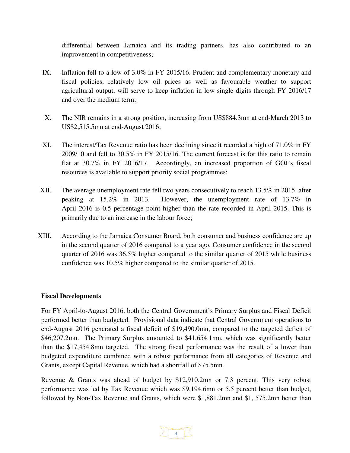differential between Jamaica and its trading partners, has also contributed to an improvement in competitiveness;

- IX. Inflation fell to a low of 3.0% in FY 2015/16. Prudent and complementary monetary and fiscal policies, relatively low oil prices as well as favourable weather to support agricultural output, will serve to keep inflation in low single digits through FY 2016/17 and over the medium term;
- X. The NIR remains in a strong position, increasing from US\$884.3mn at end-March 2013 to US\$2,515.5mn at end-August 2016;
- XI. The interest/Tax Revenue ratio has been declining since it recorded a high of 71.0% in FY 2009/10 and fell to 30.5% in FY 2015/16. The current forecast is for this ratio to remain flat at 30.7% in FY 2016/17. Accordingly, an increased proportion of GOJ's fiscal resources is available to support priority social programmes;
- XII. The average unemployment rate fell two years consecutively to reach 13.5% in 2015, after peaking at 15.2% in 2013. However, the unemployment rate of 13.7% in April 2016 is 0.5 percentage point higher than the rate recorded in April 2015. This is primarily due to an increase in the labour force;
- XIII. According to the Jamaica Consumer Board, both consumer and business confidence are up in the second quarter of 2016 compared to a year ago. Consumer confidence in the second quarter of 2016 was 36.5% higher compared to the similar quarter of 2015 while business confidence was 10.5% higher compared to the similar quarter of 2015.

#### **Fiscal Developments**

For FY April-to-August 2016, both the Central Government's Primary Surplus and Fiscal Deficit performed better than budgeted. Provisional data indicate that Central Government operations to end-August 2016 generated a fiscal deficit of \$19,490.0mn, compared to the targeted deficit of \$46,207.2mn. The Primary Surplus amounted to \$41,654.1mn, which was significantly better than the \$17,454.8mn targeted. The strong fiscal performance was the result of a lower than budgeted expenditure combined with a robust performance from all categories of Revenue and Grants, except Capital Revenue, which had a shortfall of \$75.5mn.

Revenue & Grants was ahead of budget by \$12,910.2mn or 7.3 percent. This very robust performance was led by Tax Revenue which was \$9,194.6mn or 5.5 percent better than budget, followed by Non-Tax Revenue and Grants, which were \$1,881.2mn and \$1, 575.2mn better than

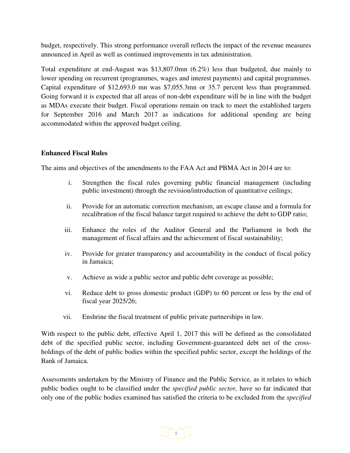budget, respectively. This strong performance overall reflects the impact of the revenue measures announced in April as well as continued improvements in tax administration.

Total expenditure at end-August was \$13,807.0mn (6.2%) less than budgeted, due mainly to lower spending on recurrent (programmes, wages and interest payments) and capital programmes. Capital expenditure of \$12,693.0 mn was \$7,055.3mn or 35.7 percent less than programmed. Going forward it is expected that all areas of non-debt expenditure will be in line with the budget as MDAs execute their budget. Fiscal operations remain on track to meet the established targets for September 2016 and March 2017 as indications for additional spending are being accommodated within the approved budget ceiling.

#### **Enhanced Fiscal Rules**

The aims and objectives of the amendments to the FAA Act and PBMA Act in 2014 are to:

- i. Strengthen the fiscal rules governing public financial management (including public investment) through the revision/introduction of quantitative ceilings;
- ii. Provide for an automatic correction mechanism, an escape clause and a formula for recalibration of the fiscal balance target required to achieve the debt to GDP ratio;
- iii. Enhance the roles of the Auditor General and the Parliament in both the management of fiscal affairs and the achievement of fiscal sustainability;
- iv. Provide for greater transparency and accountability in the conduct of fiscal policy in Jamaica;
- v. Achieve as wide a public sector and public debt coverage as possible;
- vi. Reduce debt to gross domestic product (GDP) to 60 percent or less by the end of fiscal year 2025/26;
- vii. Enshrine the fiscal treatment of public private partnerships in law.

With respect to the public debt, effective April 1, 2017 this will be defined as the consolidated debt of the specified public sector, including Government-guaranteed debt net of the crossholdings of the debt of public bodies within the specified public sector, except the holdings of the Bank of Jamaica.

Assessments undertaken by the Ministry of Finance and the Public Service, as it relates to which public bodies ought to be classified under the *specified public sector,* have so far indicated that only one of the public bodies examined has satisfied the criteria to be excluded from the *specified* 

# $\sum$  5  $\frac{1}{2}$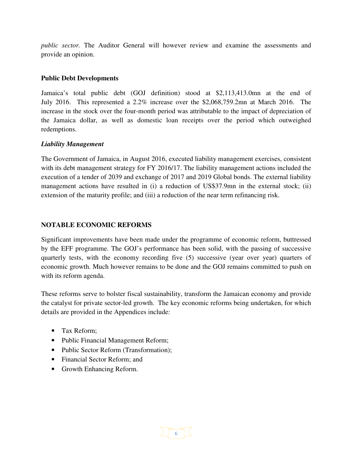*public sector.* The Auditor General will however review and examine the assessments and provide an opinion.

#### **Public Debt Developments**

Jamaica's total public debt (GOJ definition) stood at \$2,113,413.0mn at the end of July 2016. This represented a 2.2% increase over the \$2,068,759.2mn at March 2016. The increase in the stock over the four-month period was attributable to the impact of depreciation of the Jamaica dollar, as well as domestic loan receipts over the period which outweighed redemptions.

#### *Liability Management*

The Government of Jamaica, in August 2016, executed liability management exercises, consistent with its debt management strategy for FY 2016/17. The liability management actions included the execution of a tender of 2039 and exchange of 2017 and 2019 Global bonds. The external liability management actions have resulted in (i) a reduction of US\$37.9mn in the external stock; (ii) extension of the maturity profile; and (iii) a reduction of the near term refinancing risk.

#### **NOTABLE ECONOMIC REFORMS**

Significant improvements have been made under the programme of economic reform, buttressed by the EFF programme. The GOJ's performance has been solid, with the passing of successive quarterly tests, with the economy recording five (5) successive (year over year) quarters of economic growth. Much however remains to be done and the GOJ remains committed to push on with its reform agenda.

These reforms serve to bolster fiscal sustainability, transform the Jamaican economy and provide the catalyst for private sector-led growth. The key economic reforms being undertaken, for which details are provided in the Appendices include:

- Tax Reform:
- Public Financial Management Reform;
- Public Sector Reform (Transformation):
- Financial Sector Reform; and
- Growth Enhancing Reform.

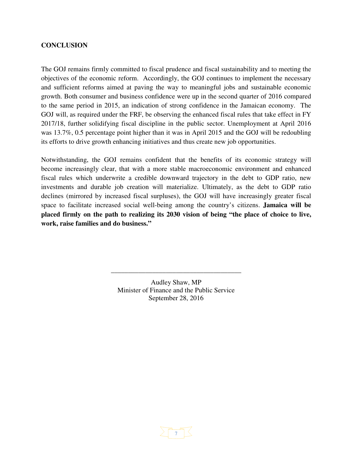#### **CONCLUSION**

The GOJ remains firmly committed to fiscal prudence and fiscal sustainability and to meeting the objectives of the economic reform. Accordingly, the GOJ continues to implement the necessary and sufficient reforms aimed at paving the way to meaningful jobs and sustainable economic growth. Both consumer and business confidence were up in the second quarter of 2016 compared to the same period in 2015, an indication of strong confidence in the Jamaican economy. The GOJ will, as required under the FRF, be observing the enhanced fiscal rules that take effect in FY 2017/18, further solidifying fiscal discipline in the public sector. Unemployment at April 2016 was 13.7%, 0.5 percentage point higher than it was in April 2015 and the GOJ will be redoubling its efforts to drive growth enhancing initiatives and thus create new job opportunities.

Notwithstanding, the GOJ remains confident that the benefits of its economic strategy will become increasingly clear, that with a more stable macroeconomic environment and enhanced fiscal rules which underwrite a credible downward trajectory in the debt to GDP ratio, new investments and durable job creation will materialize. Ultimately, as the debt to GDP ratio declines (mirrored by increased fiscal surpluses), the GOJ will have increasingly greater fiscal space to facilitate increased social well-being among the country's citizens. **Jamaica will be placed firmly on the path to realizing its 2030 vision of being "the place of choice to live, work, raise families and do business."**

> Audley Shaw, MP Minister of Finance and the Public Service September 28, 2016

\_\_\_\_\_\_\_\_\_\_\_\_\_\_\_\_\_\_\_\_\_\_\_\_\_\_\_\_\_\_\_\_\_\_\_\_\_\_

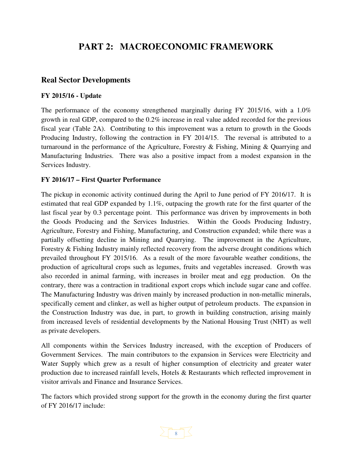# **PART 2: MACROECONOMIC FRAMEWORK**

#### **Real Sector Developments**

#### **FY 2015/16 - Update**

The performance of the economy strengthened marginally during FY 2015/16, with a 1.0% growth in real GDP, compared to the 0.2% increase in real value added recorded for the previous fiscal year (Table 2A). Contributing to this improvement was a return to growth in the Goods Producing Industry, following the contraction in FY 2014/15. The reversal is attributed to a turnaround in the performance of the Agriculture, Forestry & Fishing, Mining & Quarrying and Manufacturing Industries. There was also a positive impact from a modest expansion in the Services Industry.

#### **FY 2016/17 – First Quarter Performance**

The pickup in economic activity continued during the April to June period of FY 2016/17. It is estimated that real GDP expanded by 1.1%, outpacing the growth rate for the first quarter of the last fiscal year by 0.3 percentage point. This performance was driven by improvements in both the Goods Producing and the Services Industries. Within the Goods Producing Industry, Agriculture, Forestry and Fishing, Manufacturing, and Construction expanded; while there was a partially offsetting decline in Mining and Quarrying. The improvement in the Agriculture, Forestry & Fishing Industry mainly reflected recovery from the adverse drought conditions which prevailed throughout FY 2015/16. As a result of the more favourable weather conditions, the production of agricultural crops such as legumes, fruits and vegetables increased. Growth was also recorded in animal farming, with increases in broiler meat and egg production. On the contrary, there was a contraction in traditional export crops which include sugar cane and coffee. The Manufacturing Industry was driven mainly by increased production in non-metallic minerals, specifically cement and clinker, as well as higher output of petroleum products. The expansion in the Construction Industry was due, in part, to growth in building construction, arising mainly from increased levels of residential developments by the National Housing Trust (NHT) as well as private developers.

All components within the Services Industry increased, with the exception of Producers of Government Services. The main contributors to the expansion in Services were Electricity and Water Supply which grew as a result of higher consumption of electricity and greater water production due to increased rainfall levels, Hotels & Restaurants which reflected improvement in visitor arrivals and Finance and Insurance Services.

The factors which provided strong support for the growth in the economy during the first quarter of FY 2016/17 include:

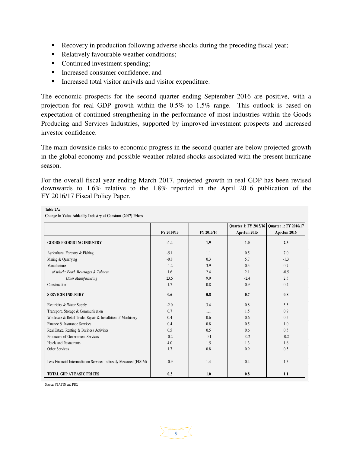- Recovery in production following adverse shocks during the preceding fiscal year;
- Relatively favourable weather conditions;
- Continued investment spending;
- Increased consumer confidence; and
- Increased total visitor arrivals and visitor expenditure.

The economic prospects for the second quarter ending September 2016 are positive, with a projection for real GDP growth within the 0.5% to 1.5% range. This outlook is based on expectation of continued strengthening in the performance of most industries within the Goods Producing and Services Industries, supported by improved investment prospects and increased investor confidence.

The main downside risks to economic progress in the second quarter are below projected growth in the global economy and possible weather-related shocks associated with the present hurricane season.

For the overall fiscal year ending March 2017, projected growth in real GDP has been revised downwards to 1.6% relative to the 1.8% reported in the April 2016 publication of the FY 2016/17 Fiscal Policy Paper.

|                                                                    |            |            |              | Quarter 1: FY 2015/16 Quarter 1: FY 2016/17 |
|--------------------------------------------------------------------|------------|------------|--------------|---------------------------------------------|
|                                                                    | FY 2014/15 | FY 2015/16 | Apr-Jun 2015 | Apr-Jun 2016                                |
|                                                                    |            |            |              |                                             |
| <b>GOODS PRODUCING INDUSTRY</b>                                    | $-1.4$     | 1.9        | 1.0          | 2.3                                         |
| Agriculture, Forestry & Fishing                                    | $-5.1$     | 1.1        | 0.5          | 7.0                                         |
| Mining & Quarrying                                                 | $-0.8$     | 0.3        | 5.7          | $-1.3$                                      |
| Manufacture                                                        | $-1.2$     | 3.9        | 0.3          | 0.7                                         |
| of which: Food, Beverages & Tobacco                                | 1.6        | 2.4        | 2.1          | $-0.5$                                      |
| Other Manufacturing                                                | 23.5       | 9.9        | $-2.4$       | 2.5                                         |
| Construction                                                       | 1.7        | 0.8        | 0.9          | 0.4                                         |
| <b>SERVICES INDUSTRY</b>                                           | 0.6        | 0.8        | 0.7          | 0.8                                         |
| Electricity & Water Supply                                         | $-2.0$     | 3.4        | 0.8          | 5.5                                         |
| Transport, Storage & Communication                                 | 0.7        | 1.1        | 1.5          | 0.9                                         |
| Wholesale & Retail Trade; Repair & Installation of Machinery       | 0.4        | 0.6        | 0.6          | 0.5                                         |
| Finance & Insurance Services                                       | 0.4        | 0.8        | 0.5          | 1.0                                         |
| Real Estate, Renting & Business Activities                         | 0.5        | 0.5        | 0.6          | 0.5                                         |
| Producers of Government Services                                   | $-0.2$     | $-0.1$     | $-0.2$       | $-0.2$                                      |
| Hotels and Restaurants                                             | 4.0        | 1.5        | 1.3          | 1.6                                         |
| Other Services                                                     | 1.7        | 0.8        | 0.9          | 0.5                                         |
| Less Financial Intermediation Services Indirectly Measured (FISIM) | $-0.9$     | 1.4        | 0.4          | 1.3                                         |
| <b>TOTAL GDP AT BASIC PRICES</b>                                   | 0.2        | 1.0        | 0.8          | 1.1                                         |

9

**Table 2A:**

**Change in Value Added by Industry at Constant (2007) Prices**

Source: STATIN and PIOJ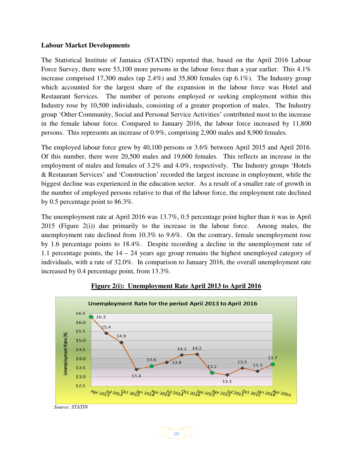#### **Labour Market Developments**

The Statistical Institute of Jamaica (STATIN) reported that, based on the April 2016 Labour Force Survey, there were 53,100 more persons in the labour force than a year earlier. This 4.1% increase comprised 17,300 males (up 2.4%) and 35,800 females (up 6.1%). The Industry group which accounted for the largest share of the expansion in the labour force was Hotel and Restaurant Services. The number of persons employed or seeking employment within this Industry rose by 10,500 individuals, consisting of a greater proportion of males. The Industry group 'Other Community, Social and Personal Service Activities' contributed most to the increase in the female labour force. Compared to January 2016, the labour force increased by 11,800 persons. This represents an increase of 0.9%, comprising 2,900 males and 8,900 females.

The employed labour force grew by 40,100 persons or 3.6% between April 2015 and April 2016. Of this number, there were 20,500 males and 19,600 females. This reflects an increase in the employment of males and females of 3.2% and 4.0%, respectively. The Industry groups 'Hotels & Restaurant Services' and 'Construction' recorded the largest increase in employment, while the biggest decline was experienced in the education sector. As a result of a smaller rate of growth in the number of employed persons relative to that of the labour force, the employment rate declined by 0.5 percentage point to 86.3%.

The unemployment rate at April 2016 was 13.7%, 0.5 percentage point higher than it was in April 2015 (Figure 2(i)) due primarily to the increase in the labour force. Among males, the unemployment rate declined from 10.3% to 9.6%. On the contrary, female unemployment rose by 1.6 percentage points to 18.4%. Despite recording a decline in the unemployment rate of 1.1 percentage points, the  $14 - 24$  years age group remains the highest unemployed category of individuals, with a rate of 32.0%. In comparison to January 2016, the overall unemployment rate increased by 0.4 percentage point, from 13.3%.



#### **Figure 2(i): Unemployment Rate April 2013 to April 2016**



*Source: STATIN*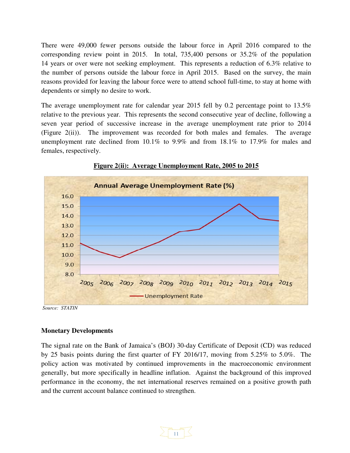There were 49,000 fewer persons outside the labour force in April 2016 compared to the corresponding review point in 2015. In total, 735,400 persons or 35.2% of the population 14 years or over were not seeking employment. This represents a reduction of 6.3% relative to the number of persons outside the labour force in April 2015. Based on the survey, the main reasons provided for leaving the labour force were to attend school full-time, to stay at home with dependents or simply no desire to work.

The average unemployment rate for calendar year 2015 fell by 0.2 percentage point to 13.5% relative to the previous year. This represents the second consecutive year of decline, following a seven year period of successive increase in the average unemployment rate prior to 2014 (Figure 2(ii)). The improvement was recorded for both males and females. The average unemployment rate declined from 10.1% to 9.9% and from 18.1% to 17.9% for males and females, respectively.





 *Source: STATIN* 

#### **Monetary Developments**

The signal rate on the Bank of Jamaica's (BOJ) 30-day Certificate of Deposit (CD) was reduced by 25 basis points during the first quarter of FY 2016/17, moving from 5.25% to 5.0%. The policy action was motivated by continued improvements in the macroeconomic environment generally, but more specifically in headline inflation. Against the background of this improved performance in the economy, the net international reserves remained on a positive growth path and the current account balance continued to strengthen.

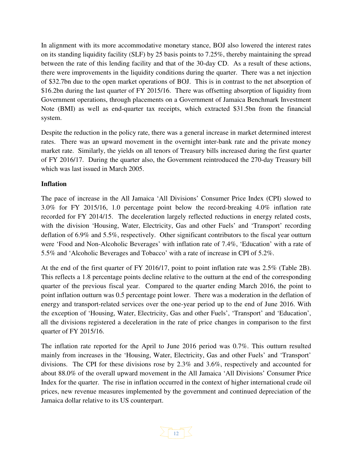In alignment with its more accommodative monetary stance, BOJ also lowered the interest rates on its standing liquidity facility (SLF) by 25 basis points to 7.25%, thereby maintaining the spread between the rate of this lending facility and that of the 30-day CD. As a result of these actions, there were improvements in the liquidity conditions during the quarter. There was a net injection of \$32.7bn due to the open market operations of BOJ. This is in contrast to the net absorption of \$16.2bn during the last quarter of FY 2015/16. There was offsetting absorption of liquidity from Government operations, through placements on a Government of Jamaica Benchmark Investment Note (BMI) as well as end-quarter tax receipts, which extracted \$31.5bn from the financial system.

Despite the reduction in the policy rate, there was a general increase in market determined interest rates. There was an upward movement in the overnight inter-bank rate and the private money market rate. Similarly, the yields on all tenors of Treasury bills increased during the first quarter of FY 2016/17. During the quarter also, the Government reintroduced the 270-day Treasury bill which was last issued in March 2005.

#### **Inflation**

The pace of increase in the All Jamaica 'All Divisions' Consumer Price Index (CPI) slowed to 3.0% for FY 2015/16, 1.0 percentage point below the record-breaking 4.0% inflation rate recorded for FY 2014/15. The deceleration largely reflected reductions in energy related costs, with the division 'Housing, Water, Electricity, Gas and other Fuels' and 'Transport' recording deflation of 6.9% and 5.5%, respectively. Other significant contributors to the fiscal year outturn were 'Food and Non-Alcoholic Beverages' with inflation rate of 7.4%, 'Education' with a rate of 5.5% and 'Alcoholic Beverages and Tobacco' with a rate of increase in CPI of 5.2%.

At the end of the first quarter of FY 2016/17, point to point inflation rate was 2.5% (Table 2B). This reflects a 1.8 percentage points decline relative to the outturn at the end of the corresponding quarter of the previous fiscal year. Compared to the quarter ending March 2016, the point to point inflation outturn was 0.5 percentage point lower. There was a moderation in the deflation of energy and transport-related services over the one-year period up to the end of June 2016. With the exception of 'Housing, Water, Electricity, Gas and other Fuels', 'Transport' and 'Education', all the divisions registered a deceleration in the rate of price changes in comparison to the first quarter of FY 2015/16.

The inflation rate reported for the April to June 2016 period was 0.7%. This outturn resulted mainly from increases in the 'Housing, Water, Electricity, Gas and other Fuels' and 'Transport' divisions. The CPI for these divisions rose by 2.3% and 3.6%, respectively and accounted for about 88.0% of the overall upward movement in the All Jamaica 'All Divisions' Consumer Price Index for the quarter. The rise in inflation occurred in the context of higher international crude oil prices, new revenue measures implemented by the government and continued depreciation of the Jamaica dollar relative to its US counterpart.

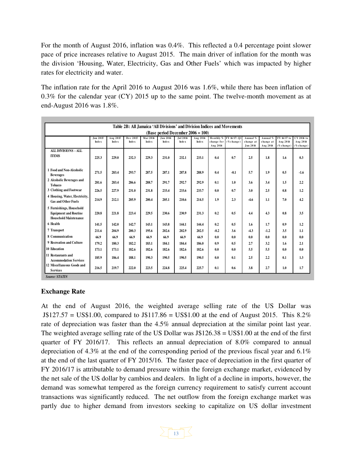For the month of August 2016, inflation was 0.4%. This reflected a 0.4 percentage point slower pace of price increases relative to August 2015. The main driver of inflation for the month was the division 'Housing, Water, Electricity, Gas and Other Fuels' which was impacted by higher rates for electricity and water.

The inflation rate for the April 2016 to August 2016 was 1.6%, while there has been inflation of 0.3% for the calendar year (CY) 2015 up to the same point. The twelve-month movement as at end-August 2016 was 1.8%.

| Table 2B: All Jamaica 'All Divisions' and Division Indices and Movements                 |                                 |                          |                   |                    |                          |                          |                   |                                     |                               |                                   |                                   |                                          |                                         |
|------------------------------------------------------------------------------------------|---------------------------------|--------------------------|-------------------|--------------------|--------------------------|--------------------------|-------------------|-------------------------------------|-------------------------------|-----------------------------------|-----------------------------------|------------------------------------------|-----------------------------------------|
| (Base period December $2006 = 100$ )                                                     |                                 |                          |                   |                    |                          |                          |                   |                                     |                               |                                   |                                   |                                          |                                         |
|                                                                                          | <b>Jun 2015</b><br><b>Index</b> | Aug 2015<br><b>Index</b> | Dec 2015<br>Index | Mar 2016<br>Inde x | <b>Jun 2016</b><br>Index | Jul 2016<br><b>Index</b> | Aug 2016<br>Index | Monthly %<br>change for<br>Aug 2016 | FY 16/17: Q1<br>$(\%$ change) | Annual %<br>change at<br>Jun 2016 | Annual %<br>change at<br>Aug 2016 | FY 16/17 to<br>Aug 2016<br>$(\%$ change) | CY 2016 to<br>Aug 2016<br>$(\%$ change) |
| <b>ALL DIVISIONS - ALL</b><br><b>ITEMS</b>                                               | 225.3                           | 229.0                    | 232.3             | 229.3              | 231.0                    | 232.1                    | 233.1             | 0.4                                 | 0.7                           | 2.5                               | 1.8                               | 1.6                                      | 0.3                                     |
| 1 Food and Non-Alcoholic<br><b>Beverages</b>                                             | 271.5                           | 283.4                    | 293.7             | 287.5              | 287.1                    | 287.8                    | 288.9             | 0.4                                 | $-0.1$                        | 5.7                               | 1.9                               | 0.5                                      | $-1.6$                                  |
| 2 Alcoholic Beverages and<br><b>Tobacco</b>                                              | 281.6                           | 283.4                    | 286.6             | 288.7              | 291.7                    | 292.7                    | 292.9             | 0.1                                 | 1.0                           | 3.6                               | 3.4                               | 1.5                                      | 2.2                                     |
| 3 Clothing and Footwear                                                                  | 226.5                           | 227.9                    | 231.0             | 231.8              | 233.4                    | 233.6                    | 233.7             | 0.0                                 | 0.7                           | 3.0                               | 2.5                               | 0.8                                      | 1.2                                     |
| 4 Housing, Water, Electricity,<br><b>Gas and Other Fuels</b>                             | 214.9                           | 212.1                    | 205.9             | 200.4              | 205.1                    | 210.6                    | 214.5             | 1.9                                 | 2.3                           | $-4.6$                            | 1.1                               | 7.0                                      | 4.2                                     |
| 5 Furnishings, Household<br><b>Equipment and Routine</b><br><b>Household Maintenance</b> | 220.8                           | 221.8                    | 223.4             | 229.5              | 230.6                    | 230.9                    | 231.3             | 0.2                                 | 0.5                           | 4.4                               | 4.3                               | 0.8                                      | 3.5                                     |
| 6 Health                                                                                 | 141.5                           | 142.0                    | 142.7             | 143.1              | 143.8                    | 144.1                    | 144.4             | 0.2                                 | 0.5                           | 1.6                               | 1.7                               | 0.9                                      | 1.2                                     |
| 7 Transport                                                                              | 211.6                           | 204.9                    | 200.3             | 195.6              | 202.6                    | 202.9                    | 202.5             | $-0.2$                              | 3.6                           | $-4.3$                            | $-1.2$                            | 3.5                                      | 1.1                                     |
| 8 Communication                                                                          | 66.9                            | 66.9                     | 66.9              | 66.9               | 66.9                     | 66.9                     | 66.9              | 0.0                                 | 0.0                           | 0.0                               | 0.0                               | 0.0                                      | 0.0                                     |
| 9 Recreation and Culture                                                                 | 179.2                           | 180.3                    | 182.2             | 183.1              | 184.1                    | 184.4                    | 186.0             | 0.9                                 | 0.5                           | 2.7                               | 3.2                               | 1.6                                      | 2.1                                     |
| <b>10 Education</b>                                                                      | 173.1                           | 173.1                    | 182.6             | 182.6              | 182.6                    | 182.6                    | 182.6             | 0.0                                 | 0.0                           | 5.5                               | 5.5                               | 0.0                                      | 0.0                                     |
| 11 Restaurants and<br><b>Accommodation Services</b>                                      | 185.9                           | 186.4                    | 188.1             | 190.3              | 190.5                    | 190.5                    | 190.5             | 0.0                                 | 0.1                           | 2.5                               | 2.2                               | 0.1                                      | 1.3                                     |
| 12 Miscellaneous Goods and<br><b>Services</b>                                            | 216.5                           | 219.7                    | 222.0             | 223.5              | 224.8                    | 225.4                    | 225.7             | 0.1                                 | 0.6                           | 3.8                               | 2.7                               | 1.0                                      | 1.7                                     |

#### **Exchange Rate**

At the end of August 2016, the weighted average selling rate of the US Dollar was J $$127.57 = US$1.00$ , compared to J $$117.86 = US$1.00$  at the end of August 2015. This 8.2% rate of depreciation was faster than the 4.5% annual depreciation at the similar point last year. The weighted average selling rate of the US Dollar was J\$126.38 = US\$1.00 at the end of the first quarter of FY 2016/17. This reflects an annual depreciation of 8.0% compared to annual depreciation of 4.3% at the end of the corresponding period of the previous fiscal year and 6.1% at the end of the last quarter of FY 2015/16. The faster pace of depreciation in the first quarter of FY 2016/17 is attributable to demand pressure within the foreign exchange market, evidenced by the net sale of the US dollar by cambios and dealers. In light of a decline in imports, however, the demand was somewhat tempered as the foreign currency requirement to satisfy current account transactions was significantly reduced. The net outflow from the foreign exchange market was partly due to higher demand from investors seeking to capitalize on US dollar investment

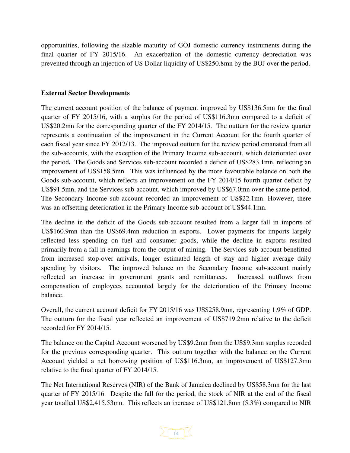opportunities, following the sizable maturity of GOJ domestic currency instruments during the final quarter of FY 2015/16. An exacerbation of the domestic currency depreciation was prevented through an injection of US Dollar liquidity of US\$250.8mn by the BOJ over the period.

#### **External Sector Developments**

The current account position of the balance of payment improved by US\$136.5mn for the final quarter of FY 2015/16, with a surplus for the period of US\$116.3mn compared to a deficit of US\$20.2mn for the corresponding quarter of the FY 2014/15. The outturn for the review quarter represents a continuation of the improvement in the Current Account for the fourth quarter of each fiscal year since FY 2012/13. The improved outturn for the review period emanated from all the sub-accounts, with the exception of the Primary Income sub-account, which deteriorated over the period**.** The Goods and Services sub-account recorded a deficit of US\$283.1mn, reflecting an improvement of US\$158.5mn. This was influenced by the more favourable balance on both the Goods sub-account, which reflects an improvement on the FY 2014/15 fourth quarter deficit by US\$91.5mn, and the Services sub-account, which improved by US\$67.0mn over the same period. The Secondary Income sub-account recorded an improvement of US\$22.1mn. However, there was an offsetting deterioration in the Primary Income sub-account of US\$44.1mn.

The decline in the deficit of the Goods sub-account resulted from a larger fall in imports of US\$160.9mn than the US\$69.4mn reduction in exports. Lower payments for imports largely reflected less spending on fuel and consumer goods, while the decline in exports resulted primarily from a fall in earnings from the output of mining. The Services sub-account benefitted from increased stop-over arrivals, longer estimated length of stay and higher average daily spending by visitors. The improved balance on the Secondary Income sub-account mainly reflected an increase in government grants and remittances. Increased outflows from compensation of employees accounted largely for the deterioration of the Primary Income balance.

Overall, the current account deficit for FY 2015/16 was US\$258.9mn, representing 1.9% of GDP. The outturn for the fiscal year reflected an improvement of US\$719.2mn relative to the deficit recorded for FY 2014/15.

The balance on the Capital Account worsened by US\$9.2mn from the US\$9.3mn surplus recorded for the previous corresponding quarter. This outturn together with the balance on the Current Account yielded a net borrowing position of US\$116.3mn, an improvement of US\$127.3mn relative to the final quarter of FY 2014/15.

The Net International Reserves (NIR) of the Bank of Jamaica declined by US\$58.3mn for the last quarter of FY 2015/16. Despite the fall for the period, the stock of NIR at the end of the fiscal year totalled US\$2,415.53mn. This reflects an increase of US\$121.8mn (5.3%) compared to NIR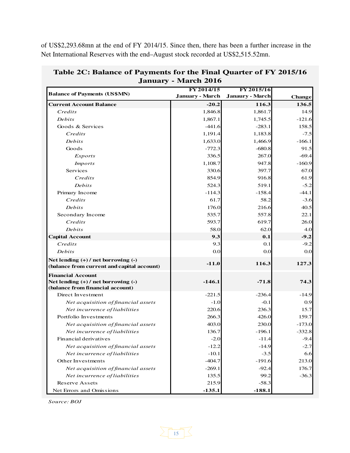of US\$2,293.68mn at the end of FY 2014/15. Since then, there has been a further increase in the Net International Reserves with the end–August stock recorded at US\$2,515.52mn.

|                                                                         | FY 2014/15             | FY 2015/16             |               |
|-------------------------------------------------------------------------|------------------------|------------------------|---------------|
| <b>Balance of Payments (US\$MN)</b>                                     | <b>January - March</b> | <b>Janaury - March</b> | <b>Change</b> |
| <b>Current Account Balance</b>                                          | $-20.2$                | 116.3                  | 136.5         |
| Credits                                                                 | 1,846.8                | 1,861.7                | 14.9          |
| Debits                                                                  | 1,867.1                | 1,745.5                | $-121.6$      |
| Goods & Services                                                        | $-441.6$               | $-283.1$               | 158.5         |
| Credits                                                                 | 1,191.4                | 1,183.8                | $-7.5$        |
| Debits                                                                  | 1,633.0                | 1,466.9                | $-166.1$      |
| Goods                                                                   | $-772.3$               | $-680.8$               | 91.5          |
| <i>Exports</i>                                                          | 336.5                  | 267.0                  | $-69.4$       |
| <i>Imports</i>                                                          | 1,108.7                | 947.8                  | $-160.9$      |
| Services                                                                | 330.6                  | 397.7                  | 67.0          |
| Credits                                                                 | 854.9                  | 916.8                  | 61.9          |
| Debits                                                                  | 524.3                  | 519.1                  | $-5.2$        |
| Primary Income                                                          | $-114.3$               | $-158.4$               | $-44.1$       |
| Credits                                                                 | 61.7                   | 58.2                   | $-3.6$        |
| Debits                                                                  | 176.0                  | 216.6                  | 40.5          |
| Secondary Income                                                        | 535.7                  | 557.8                  | 22.1          |
| Credits                                                                 | 593.7                  | 619.7                  | 26.0          |
| Debits                                                                  | 58.0                   | 62.0                   | 4.0           |
| <b>Capital Account</b>                                                  | 9.3                    | 0.1                    | $-9.2$        |
| Credits                                                                 | 9.3                    | 0.1                    | $-9.2$        |
| Debits                                                                  | 0.0                    | 0.0                    | 0.0           |
| Net lending $(+)$ / net borrowing $(-)$                                 | $-11.0$                | 116.3                  | 127.3         |
| (balance from current and capital account)                              |                        |                        |               |
| <b>Financial Account</b>                                                |                        |                        |               |
| Net lending (+) / net borrowing (-)<br>(balance from financial account) | $-146.1$               | $-71.8$                | 74.3          |
| Direct Investment                                                       | $-221.5$               | $-236.4$               | $-14.9$       |
| Net acquisition of financial assets                                     | $-1.0$                 | $-0.1$                 | 0.9           |
| Net incurrence of liabilities                                           | 220.6                  | 236.3                  | 15.7          |
| Portfolio Investments                                                   | 266.3                  | 426.0                  | 159.7         |
| Net acquisition of financial assets                                     | 403.0                  | 230.0                  | $-173.0$      |
| Net incurrence of liabilities                                           | 136.7                  | $-196.1$               | $-332.8$      |
| Financial derivatives                                                   | $-2.0$                 | $-11.4$                | $-9.4$        |
| Net acquisition of financial assets                                     | $-12.2$                | $-14.9$                | $-2.7$        |
| Net incurrence of liabilities                                           | $-10.1$                | $-3.5$                 | 6.6           |
| Other Investments                                                       | $-404.7$               | $-191.6$               | 213.0         |
| Net acquisition of financial assets                                     | $-269.1$               | $-92.4$                | 176.7         |
| Net incurrence of liabilities                                           | 135.5                  | 99.2                   | $-36.3$       |
| <b>Reserve Assets</b>                                                   | 215.9                  | $-58.3$                |               |
| Net Errors and Omissions                                                | $-135.1$               | $-188.1$               |               |

| Table 2C: Balance of Payments for the Final Quarter of FY 2015/16 |
|-------------------------------------------------------------------|
| <b>January - March 2016</b>                                       |

*Source: BOJ*

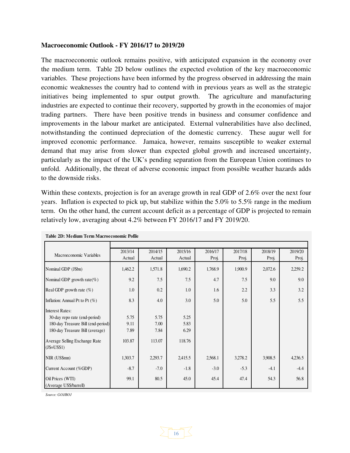#### **Macroeconomic Outlook - FY 2016/17 to 2019/20**

The macroeconomic outlook remains positive, with anticipated expansion in the economy over the medium term. Table 2D below outlines the expected evolution of the key macroeconomic variables. These projections have been informed by the progress observed in addressing the main economic weaknesses the country had to contend with in previous years as well as the strategic initiatives being implemented to spur output growth. The agriculture and manufacturing industries are expected to continue their recovery, supported by growth in the economies of major trading partners. There have been positive trends in business and consumer confidence and improvements in the labour market are anticipated. External vulnerabilities have also declined, notwithstanding the continued depreciation of the domestic currency. These augur well for improved economic performance. Jamaica, however, remains susceptible to weaker external demand that may arise from slower than expected global growth and increased uncertainty, particularly as the impact of the UK's pending separation from the European Union continues to unfold. Additionally, the threat of adverse economic impact from possible weather hazards adds to the downside risks.

Within these contexts, projection is for an average growth in real GDP of 2.6% over the next four years. Inflation is expected to pick up, but stabilize within the 5.0% to 5.5% range in the medium term. On the other hand, the current account deficit as a percentage of GDP is projected to remain relatively low, averaging about 4.2% between FY 2016/17 and FY 2019/20.

| Macroeconomic Variables                      | 2013/14 | 2014/15 | 2015/16 | 2016/17 | 2017/18 | 2018/19 | 2019/20 |
|----------------------------------------------|---------|---------|---------|---------|---------|---------|---------|
|                                              | Actual  | Actual  | Actual  | Proj.   | Proj.   | Proj.   | Proj.   |
| Nominal GDP (J\$bn)                          | 1,462.2 | 1,571.8 | 1,690.2 | 1,768.9 | 1,900.9 | 2,072.6 | 2,259.2 |
| Nominal GDP growth rate(%)                   | 9.2     | 7.5     | 7.5     | 4.7     | 7.5     | 9.0     | 9.0     |
| Real GDP growth rate $(\%)$                  | 1.0     | 0.2     | 1.0     | 1.6     | 2.2     | 3.3     | 3.2     |
| Inflation: Annual Pt to Pt $(\%)$            | 8.3     | 4.0     | 3.0     | 5.0     | 5.0     | 5.5     | 5.5     |
| <b>Interest Rates:</b>                       |         |         |         |         |         |         |         |
| 30-day repo rate (end-period)                | 5.75    | 5.75    | 5.25    |         |         |         |         |
| 180-day Treasure Bill (end-period)           | 9.11    | 7.00    | 5.83    |         |         |         |         |
| 180-day Treasure Bill (average)              | 7.89    | 7.84    | 6.29    |         |         |         |         |
| Average Selling Exchange Rate<br>$(J$=US$1)$ | 103.87  | 113.07  | 118.76  |         |         |         |         |
| NIR (US\$mn)                                 | 1,303.7 | 2,293.7 | 2,415.5 | 2,568.1 | 3,278.2 | 3,908.5 | 4,236.5 |
| Current Account (%GDP)                       | $-8.7$  | $-7.0$  | $-1.8$  | $-3.0$  | $-5.3$  | $-4.1$  | $-4.4$  |
| Oil Prices (WTI)<br>(Average US\$/barrell)   | 99.1    | 80.5    | 45.0    | 45.4    | 47.4    | 54.3    | 56.8    |

16

**Table 2D: Medium Term Macroeconomic Pofile**

*Source: GOJ/BOJ*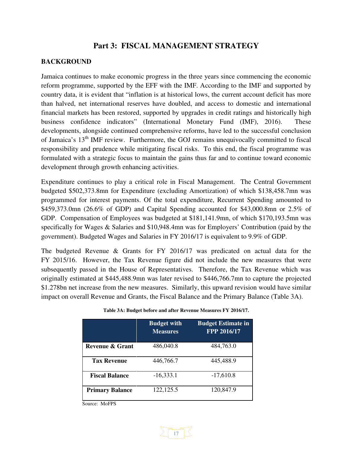### **Part 3: FISCAL MANAGEMENT STRATEGY**

#### **BACKGROUND**

Jamaica continues to make economic progress in the three years since commencing the economic reform programme, supported by the EFF with the IMF. According to the IMF and supported by country data, it is evident that "inflation is at historical lows, the current account deficit has more than halved, net international reserves have doubled, and access to domestic and international financial markets has been restored, supported by upgrades in credit ratings and historically high business confidence indicators" (International Monetary Fund (IMF), 2016). These developments, alongside continued comprehensive reforms, have led to the successful conclusion of Jamaica's 13<sup>th</sup> IMF review. Furthermore, the GOJ remains unequivocally committed to fiscal responsibility and prudence while mitigating fiscal risks. To this end, the fiscal programme was formulated with a strategic focus to maintain the gains thus far and to continue toward economic development through growth enhancing activities.

Expenditure continues to play a critical role in Fiscal Management. The Central Government budgeted \$502,373.8mn for Expenditure (excluding Amortization) of which \$138,458.7mn was programmed for interest payments. Of the total expenditure, Recurrent Spending amounted to \$459,373.0mn (26.6% of GDP) and Capital Spending accounted for \$43,000.8mn or 2.5% of GDP. Compensation of Employees was budgeted at \$181,141.9mn, of which \$170,193.5mn was specifically for Wages & Salaries and \$10,948.4mn was for Employers' Contribution (paid by the government). Budgeted Wages and Salaries in FY 2016/17 is equivalent to 9.9% of GDP.

The budgeted Revenue & Grants for FY 2016/17 was predicated on actual data for the FY 2015/16. However, the Tax Revenue figure did not include the new measures that were subsequently passed in the House of Representatives. Therefore, the Tax Revenue which was originally estimated at \$445,488.9mn was later revised to \$446,766.7mn to capture the projected \$1.278bn net increase from the new measures. Similarly, this upward revision would have similar impact on overall Revenue and Grants, the Fiscal Balance and the Primary Balance (Table 3A).

|                            | <b>Budget with</b><br><b>Measures</b> | <b>Budget Estimate in</b><br>FPP 2016/17 |
|----------------------------|---------------------------------------|------------------------------------------|
| <b>Revenue &amp; Grant</b> | 486,040.8                             | 484,763.0                                |
| <b>Tax Revenue</b>         | 446,766.7                             | 445,488.9                                |
| <b>Fiscal Balance</b>      | $-16,333.1$                           | $-17,610.8$                              |
| <b>Primary Balance</b>     | 122, 125.5                            | 120,847.9                                |

**Table 3A: Budget before and after Revenue Measures FY 2016/17.** 

Source: MoFPS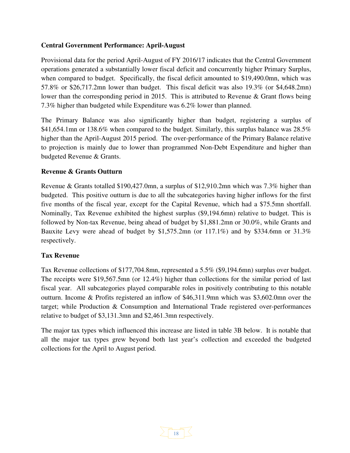#### **Central Government Performance: April-August**

Provisional data for the period April-August of FY 2016/17 indicates that the Central Government operations generated a substantially lower fiscal deficit and concurrently higher Primary Surplus, when compared to budget. Specifically, the fiscal deficit amounted to \$19,490.0mn, which was 57.8% or \$26,717.2mn lower than budget. This fiscal deficit was also 19.3% (or \$4,648.2mn) lower than the corresponding period in 2015. This is attributed to Revenue & Grant flows being 7.3% higher than budgeted while Expenditure was 6.2% lower than planned.

The Primary Balance was also significantly higher than budget, registering a surplus of \$41,654.1mn or 138.6% when compared to the budget. Similarly, this surplus balance was 28.5% higher than the April-August 2015 period. The over-performance of the Primary Balance relative to projection is mainly due to lower than programmed Non-Debt Expenditure and higher than budgeted Revenue & Grants.

#### **Revenue & Grants Outturn**

Revenue & Grants totalled \$190,427.0mn, a surplus of \$12,910.2mn which was 7.3% higher than budgeted. This positive outturn is due to all the subcategories having higher inflows for the first five months of the fiscal year, except for the Capital Revenue, which had a \$75.5mn shortfall. Nominally, Tax Revenue exhibited the highest surplus (\$9,194.6mn) relative to budget. This is followed by Non-tax Revenue, being ahead of budget by \$1,881.2mn or 30.0%, while Grants and Bauxite Levy were ahead of budget by \$1,575.2mn (or 117.1%) and by \$334.6mn or 31.3% respectively.

#### **Tax Revenue**

Tax Revenue collections of \$177,704.8mn, represented a 5.5% (\$9,194.6mn) surplus over budget. The receipts were \$19,567.5mn (or 12.4%) higher than collections for the similar period of last fiscal year. All subcategories played comparable roles in positively contributing to this notable outturn. Income & Profits registered an inflow of \$46,311.9mn which was \$3,602.0mn over the target; while Production & Consumption and International Trade registered over-performances relative to budget of \$3,131.3mn and \$2,461.3mn respectively.

The major tax types which influenced this increase are listed in table 3B below. It is notable that all the major tax types grew beyond both last year's collection and exceeded the budgeted collections for the April to August period.

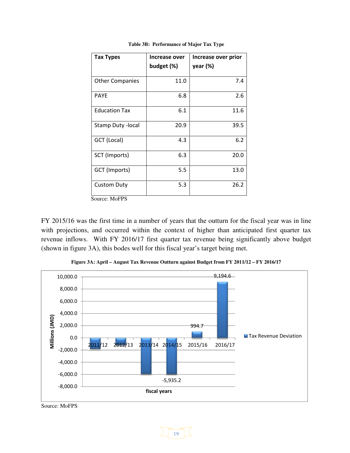| <b>Tax Types</b>          | Increase over<br>budget (%) | Increase over prior<br>year (%) |
|---------------------------|-----------------------------|---------------------------------|
| <b>Other Companies</b>    | 11.0                        | 7.4                             |
| <b>PAYE</b>               | 6.8                         | 2.6                             |
| <b>Education Tax</b>      | 6.1                         | 11.6                            |
| <b>Stamp Duty - local</b> | 20.9                        | 39.5                            |
| GCT (Local)               | 4.3                         | 6.2                             |
| SCT (Imports)             | 6.3                         | 20.0                            |
| GCT (Imports)             | 5.5                         | 13.0                            |
| <b>Custom Duty</b>        | 5.3                         | 26.2                            |

**Table 3B: Performance of Major Tax Type** 

Source: MoFPS

FY 2015/16 was the first time in a number of years that the outturn for the fiscal year was in line with projections, and occurred within the context of higher than anticipated first quarter tax revenue inflows. With FY 2016/17 first quarter tax revenue being significantly above budget (shown in figure 3A), this bodes well for this fiscal year's target being met.





Source: MoFPS

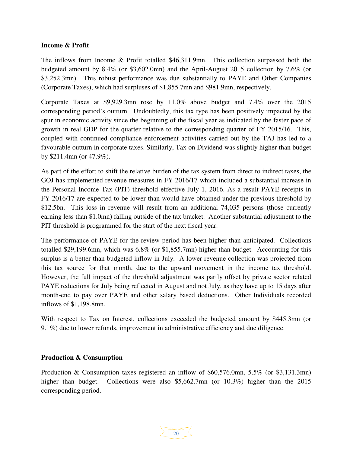#### **Income & Profit**

The inflows from Income & Profit totalled \$46,311.9mn. This collection surpassed both the budgeted amount by 8.4% (or \$3,602.0mn) and the April-August 2015 collection by 7.6% (or \$3,252.3mn). This robust performance was due substantially to PAYE and Other Companies (Corporate Taxes), which had surpluses of \$1,855.7mn and \$981.9mn, respectively.

Corporate Taxes at \$9,929.3mn rose by 11.0% above budget and 7.4% over the 2015 corresponding period's outturn. Undoubtedly, this tax type has been positively impacted by the spur in economic activity since the beginning of the fiscal year as indicated by the faster pace of growth in real GDP for the quarter relative to the corresponding quarter of FY 2015/16. This, coupled with continued compliance enforcement activities carried out by the TAJ has led to a favourable outturn in corporate taxes. Similarly, Tax on Dividend was slightly higher than budget by \$211.4mn (or 47.9%).

As part of the effort to shift the relative burden of the tax system from direct to indirect taxes, the GOJ has implemented revenue measures in FY 2016/17 which included a substantial increase in the Personal Income Tax (PIT) threshold effective July 1, 2016. As a result PAYE receipts in FY 2016/17 are expected to be lower than would have obtained under the previous threshold by \$12.5bn. This loss in revenue will result from an additional 74,035 persons (those currently earning less than \$1.0mn) falling outside of the tax bracket. Another substantial adjustment to the PIT threshold is programmed for the start of the next fiscal year.

The performance of PAYE for the review period has been higher than anticipated. Collections totalled \$29,199.6mn, which was 6.8% (or \$1,855.7mn) higher than budget. Accounting for this surplus is a better than budgeted inflow in July. A lower revenue collection was projected from this tax source for that month, due to the upward movement in the income tax threshold. However, the full impact of the threshold adjustment was partly offset by private sector related PAYE reductions for July being reflected in August and not July, as they have up to 15 days after month-end to pay over PAYE and other salary based deductions. Other Individuals recorded inflows of \$1,198.8mn.

With respect to Tax on Interest, collections exceeded the budgeted amount by \$445.3mn (or 9.1%) due to lower refunds, improvement in administrative efficiency and due diligence.

#### **Production & Consumption**

Production & Consumption taxes registered an inflow of \$60,576.0mn, 5.5% (or \$3,131.3mn) higher than budget. Collections were also \$5,662.7mn (or 10.3%) higher than the 2015 corresponding period.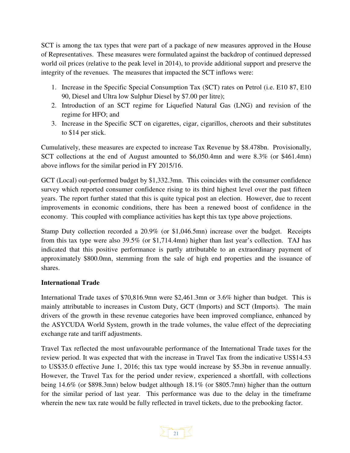SCT is among the tax types that were part of a package of new measures approved in the House of Representatives. These measures were formulated against the backdrop of continued depressed world oil prices (relative to the peak level in 2014), to provide additional support and preserve the integrity of the revenues. The measures that impacted the SCT inflows were:

- 1. Increase in the Specific Special Consumption Tax (SCT) rates on Petrol (i.e. E10 87, E10 90, Diesel and Ultra low Sulphur Diesel by \$7.00 per litre);
- 2. Introduction of an SCT regime for Liquefied Natural Gas (LNG) and revision of the regime for HFO; and
- 3. Increase in the Specific SCT on cigarettes, cigar, cigarillos, cheroots and their substitutes to \$14 per stick.

Cumulatively, these measures are expected to increase Tax Revenue by \$8.478bn. Provisionally, SCT collections at the end of August amounted to \$6,050.4mn and were 8.3% (or \$461.4mn) above inflows for the similar period in FY 2015/16.

GCT (Local) out-performed budget by \$1,332.3mn. This coincides with the consumer confidence survey which reported consumer confidence rising to its third highest level over the past fifteen years. The report further stated that this is quite typical post an election. However, due to recent improvements in economic conditions, there has been a renewed boost of confidence in the economy. This coupled with compliance activities has kept this tax type above projections.

Stamp Duty collection recorded a 20.9% (or \$1,046.5mn) increase over the budget. Receipts from this tax type were also 39.5% (or \$1,714.4mn) higher than last year's collection. TAJ has indicated that this positive performance is partly attributable to an extraordinary payment of approximately \$800.0mn, stemming from the sale of high end properties and the issuance of shares.

#### **International Trade**

International Trade taxes of \$70,816.9mn were \$2,461.3mn or 3.6% higher than budget. This is mainly attributable to increases in Custom Duty, GCT (Imports) and SCT (Imports). The main drivers of the growth in these revenue categories have been improved compliance, enhanced by the ASYCUDA World System, growth in the trade volumes, the value effect of the depreciating exchange rate and tariff adjustments.

Travel Tax reflected the most unfavourable performance of the International Trade taxes for the review period. It was expected that with the increase in Travel Tax from the indicative US\$14.53 to US\$35.0 effective June 1, 2016; this tax type would increase by \$5.3bn in revenue annually. However, the Travel Tax for the period under review, experienced a shortfall, with collections being 14.6% (or \$898.3mn) below budget although 18.1% (or \$805.7mn) higher than the outturn for the similar period of last year. This performance was due to the delay in the timeframe wherein the new tax rate would be fully reflected in travel tickets, due to the prebooking factor.

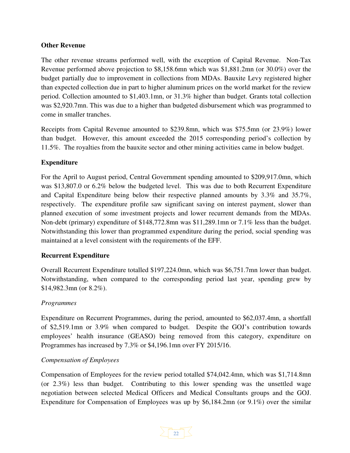#### **Other Revenue**

The other revenue streams performed well, with the exception of Capital Revenue. Non-Tax Revenue performed above projection to \$8,158.6mn which was \$1,881.2mn (or 30.0%) over the budget partially due to improvement in collections from MDAs. Bauxite Levy registered higher than expected collection due in part to higher aluminum prices on the world market for the review period. Collection amounted to \$1,403.1mn, or 31.3% higher than budget. Grants total collection was \$2,920.7mn. This was due to a higher than budgeted disbursement which was programmed to come in smaller tranches.

Receipts from Capital Revenue amounted to \$239.8mn, which was \$75.5mn (or 23.9%) lower than budget. However, this amount exceeded the 2015 corresponding period's collection by 11.5%. The royalties from the bauxite sector and other mining activities came in below budget.

#### **Expenditure**

For the April to August period, Central Government spending amounted to \$209,917.0mn, which was \$13,807.0 or 6.2% below the budgeted level. This was due to both Recurrent Expenditure and Capital Expenditure being below their respective planned amounts by 3.3% and 35.7%, respectively. The expenditure profile saw significant saving on interest payment, slower than planned execution of some investment projects and lower recurrent demands from the MDAs. Non-debt (primary) expenditure of \$148,772.8mn was \$11,289.1mn or 7.1% less than the budget. Notwithstanding this lower than programmed expenditure during the period, social spending was maintained at a level consistent with the requirements of the EFF.

#### **Recurrent Expenditure**

Overall Recurrent Expenditure totalled \$197,224.0mn, which was \$6,751.7mn lower than budget. Notwithstanding, when compared to the corresponding period last year, spending grew by \$14,982.3mn (or 8.2%).

#### *Programmes*

Expenditure on Recurrent Programmes, during the period, amounted to \$62,037.4mn, a shortfall of \$2,519.1mn or 3.9% when compared to budget. Despite the GOJ's contribution towards employees' health insurance (GEASO) being removed from this category, expenditure on Programmes has increased by 7.3% or \$4,196.1mn over FY 2015/16.

#### *Compensation of Employees*

Compensation of Employees for the review period totalled \$74,042.4mn, which was \$1,714.8mn (or 2.3%) less than budget. Contributing to this lower spending was the unsettled wage negotiation between selected Medical Officers and Medical Consultants groups and the GOJ. Expenditure for Compensation of Employees was up by \$6,184.2mn (or 9.1%) over the similar

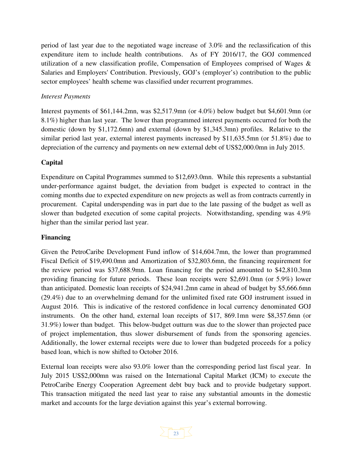period of last year due to the negotiated wage increase of 3.0% and the reclassification of this expenditure item to include health contributions. As of FY 2016/17, the GOJ commenced utilization of a new classification profile, Compensation of Employees comprised of Wages & Salaries and Employers' Contribution. Previously, GOJ's (employer's) contribution to the public sector employees' health scheme was classified under recurrent programmes.

#### *Interest Payments*

Interest payments of \$61,144.2mn, was \$2,517.9mn (or 4.0%) below budget but \$4,601.9mn (or 8.1%) higher than last year. The lower than programmed interest payments occurred for both the domestic (down by \$1,172.6mn) and external (down by \$1,345.3mn) profiles. Relative to the similar period last year, external interest payments increased by \$11,635.5mn (or 51.8%) due to depreciation of the currency and payments on new external debt of US\$2,000.0mn in July 2015.

#### **Capital**

Expenditure on Capital Programmes summed to \$12,693.0mn. While this represents a substantial under-performance against budget, the deviation from budget is expected to contract in the coming months due to expected expenditure on new projects as well as from contracts currently in procurement. Capital underspending was in part due to the late passing of the budget as well as slower than budgeted execution of some capital projects. Notwithstanding, spending was 4.9% higher than the similar period last year.

#### **Financing**

Given the PetroCaribe Development Fund inflow of \$14,604.7mn, the lower than programmed Fiscal Deficit of \$19,490.0mn and Amortization of \$32,803.6mn, the financing requirement for the review period was \$37,688.9mn. Loan financing for the period amounted to \$42,810.3mn providing financing for future periods. These loan receipts were \$2,691.0mn (or 5.9%) lower than anticipated. Domestic loan receipts of \$24,941.2mn came in ahead of budget by \$5,666.6mn (29.4%) due to an overwhelming demand for the unlimited fixed rate GOJ instrument issued in August 2016. This is indicative of the restored confidence in local currency denominated GOJ instruments. On the other hand, external loan receipts of \$17, 869.1mn were \$8,357.6mn (or 31.9%) lower than budget. This below-budget outturn was due to the slower than projected pace of project implementation, thus slower disbursement of funds from the sponsoring agencies. Additionally, the lower external receipts were due to lower than budgeted proceeds for a policy based loan, which is now shifted to October 2016.

External loan receipts were also 93.0% lower than the corresponding period last fiscal year. In July 2015 US\$2,000mn was raised on the International Capital Market (ICM) to execute the PetroCaribe Energy Cooperation Agreement debt buy back and to provide budgetary support. This transaction mitigated the need last year to raise any substantial amounts in the domestic market and accounts for the large deviation against this year's external borrowing.

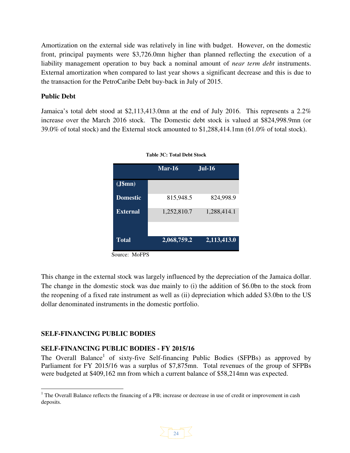Amortization on the external side was relatively in line with budget. However, on the domestic front, principal payments were \$3,726.0mn higher than planned reflecting the execution of a liability management operation to buy back a nominal amount of *near term debt* instruments. External amortization when compared to last year shows a significant decrease and this is due to the transaction for the PetroCaribe Debt buy-back in July of 2015.

#### **Public Debt**

Jamaica's total debt stood at \$2,113,413.0mn at the end of July 2016. This represents a 2.2% increase over the March 2016 stock. The Domestic debt stock is valued at \$824,998.9mn (or 39.0% of total stock) and the External stock amounted to \$1,288,414.1mn (61.0% of total stock).

|                 | $\overline{\text{Mar-}16}$ | <b>Jul-16</b> |
|-----------------|----------------------------|---------------|
| (J\$mm)         |                            |               |
| <b>Domestic</b> | 815,948.5                  | 824,998.9     |
| External        | 1,252,810.7                | 1,288,414.1   |
| <b>Total</b>    | 2,068,759.2                | 2,113,413.0   |



Source: MoFPS

This change in the external stock was largely influenced by the depreciation of the Jamaica dollar. The change in the domestic stock was due mainly to (i) the addition of \$6.0bn to the stock from the reopening of a fixed rate instrument as well as (ii) depreciation which added \$3.0bn to the US dollar denominated instruments in the domestic portfolio.

#### **SELF-FINANCING PUBLIC BODIES**

 $\overline{a}$ 

#### **SELF-FINANCING PUBLIC BODIES - FY 2015/16**

The Overall Balance<sup>1</sup> of sixty-five Self-financing Public Bodies (SFPBs) as approved by Parliament for FY 2015/16 was a surplus of \$7,875mn. Total revenues of the group of SFPBs were budgeted at \$409,162 mn from which a current balance of \$58,214mn was expected.

<sup>&</sup>lt;sup>1</sup> The Overall Balance reflects the financing of a PB; increase or decrease in use of credit or improvement in cash deposits.

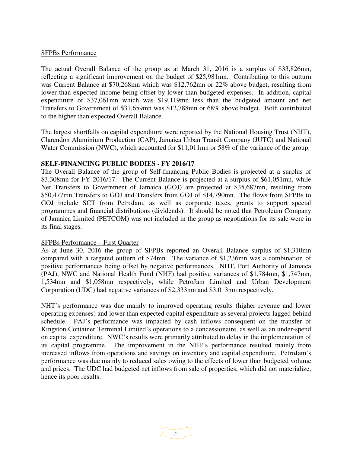#### SFPBs Performance

The actual Overall Balance of the group as at March 31, 2016 is a surplus of \$33,826mn, reflecting a significant improvement on the budget of \$25,981mn. Contributing to this outturn was Current Balance at \$70,268mn which was \$12,762mn or 22% above budget, resulting from lower than expected income being offset by lower than budgeted expenses. In addition, capital expenditure of \$37,061mn which was \$19,119mn less than the budgeted amount and net Transfers to Government of \$31,659mn was \$12,788mn or 68% above budget. Both contributed to the higher than expected Overall Balance.

The largest shortfalls on capital expenditure were reported by the National Housing Trust (NHT), Clarendon Aluminium Production (CAP), Jamaica Urban Transit Company (JUTC) and National Water Commission (NWC), which accounted for \$11,011mn or 58% of the variance of the group.

#### **SELF-FINANCING PUBLIC BODIES - FY 2016/17**

The Overall Balance of the group of Self-financing Public Bodies is projected at a surplus of \$3,308mn for FY 2016/17. The Current Balance is projected at a surplus of \$61,051mn, while Net Transfers to Government of Jamaica (GOJ) are projected at \$35,687mn, resulting from \$50,477mn Transfers to GOJ and Transfers from GOJ of \$14,790mn. The flows from SFPBs to GOJ include SCT from PetroJam, as well as corporate taxes, grants to support special programmes and financial distributions (dividends). It should be noted that Petroleum Company of Jamaica Limited (PETCOM) was not included in the group as negotiations for its sale were in its final stages.

#### SFPBs Performance – First Quarter

As at June 30, 2016 the group of SFPBs reported an Overall Balance surplus of \$1,310mn compared with a targeted outturn of \$74mn. The variance of \$1,236mn was a combination of positive performances being offset by negative performances. NHT, Port Authority of Jamaica (PAJ), NWC and National Health Fund (NHF) had positive variances of \$1,784mn, \$1,747mn, 1,534mn and \$1,058mn respectively, while PetroJam Limited and Urban Development Corporation (UDC) had negative variances of \$2,333mn and \$3,013mn respectively.

NHT's performance was due mainly to improved operating results (higher revenue and lower operating expenses) and lower than expected capital expenditure as several projects lagged behind schedule. PAJ's performance was impacted by cash inflows consequent on the transfer of Kingston Container Terminal Limited's operations to a concessionaire, as well as an under-spend on capital expenditure. NWC's results were primarily attributed to delay in the implementation of its capital programme. The improvement in the NHF's performance resulted mainly from increased inflows from operations and savings on inventory and capital expenditure. PetroJam's performance was due mainly to reduced sales owing to the effects of lower than budgeted volume and prices. The UDC had budgeted net inflows from sale of properties, which did not materialize, hence its poor results.

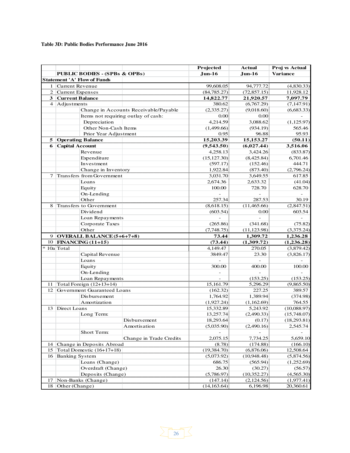#### **Table 3D: Public Bodies Performance June 2016**

|                 |                                          |                                       | Projected      | <b>Actual</b>            | Proj vs Actual  |
|-----------------|------------------------------------------|---------------------------------------|----------------|--------------------------|-----------------|
|                 | <b>PUBLIC BODIES - (SPBs &amp; OPBs)</b> |                                       | $Jun-16$       | Jun-16                   | <b>Variance</b> |
|                 | <b>Statement 'A' Flow of Funds</b>       |                                       |                |                          |                 |
| 1               | <b>Current Revenue</b>                   |                                       | 99,608.05      | 94,777.72                | (4,830.33)      |
| $\overline{2}$  | <b>Current Expenses</b>                  |                                       | (84, 785.27)   | (72, 857.15)             | 11,928.12       |
| 3               | <b>Current Balance</b>                   |                                       | 14,822.77      | 21,920.57                | 7,097.79        |
|                 | 4 Adjustments                            |                                       | 380.62         | (6,767.29)               | (7, 147.91)     |
|                 |                                          | Change in Accounts Receivable/Payable | (2,335.27)     | (9,018.60)               | (6,683.33)      |
|                 |                                          | Items not requiring outlay of cash:   | 0.00           | 0.00                     |                 |
|                 | Depreciation                             |                                       | 4,214.59       | 3,088.62                 | (1, 125.97)     |
|                 | Other Non-Cash Items                     |                                       | (1,499.66)     | (934.19)                 | 565.46          |
|                 | Prior Year Adjustment                    |                                       | 0.95           | 96.88                    | 95.93           |
| 5               | <b>Operating Balance</b>                 |                                       | 15,203.39      | 15,153.27                | (50.11)         |
| 6               | <b>Capital Account</b>                   |                                       | (9,543.50)     | (6,027.44)               | 3,516.06        |
|                 | Revenue                                  |                                       | 4,258.13       | 3,424.26                 | (833.87)        |
|                 | Expenditure                              |                                       | (15, 127.30)   | (8,425.84)               | 6,701.46        |
|                 | Investment                               |                                       | (597.17)       | (152.46)                 | 444.71          |
|                 | Change in Inventory                      |                                       | 1,922.84       | (873.40)                 | (2,796.24)      |
| 7               | Transfers from Government                |                                       | 3,031.70       | 3,649.55                 | 617.85          |
|                 | Loans                                    |                                       | 2,674.36       | 2,633.32                 | (41.04)         |
|                 | Equity                                   |                                       | 100.00         | 728.70                   | 628.70          |
|                 | On-Lending                               |                                       | $\overline{a}$ | $\overline{\phantom{a}}$ | $\mathcal{L}$   |
|                 | Other                                    |                                       | 257.34         | 287.53                   | 30.19           |
| 8               | Transfers to Government                  |                                       | (8,618.15)     | (11,465.66)              | (2,847.51)      |
|                 | Dividend                                 |                                       | (603.54)       | 0.00                     | 603.54          |
|                 | Loan Repayments                          |                                       |                |                          |                 |
|                 | Corporate Taxes                          |                                       | (265.86)       | (341.68)                 | (75.82)         |
|                 | Other                                    |                                       | (7,748.75)     | (11, 123.98)             | (3,375.24)      |
|                 | 9 OVERALL BALANCE (5+6+7+8)              |                                       | 73.44          | 1,309.72                 | 1,236.28        |
|                 | 10 FINANCING (11+15)                     |                                       | (73.44)        | (1,309.72)               | (1,236.28)      |
|                 | 10a Total                                |                                       | 4,149.47       | 270.05                   | (3,879.42)      |
|                 | Capital Revenue                          |                                       | 3849.47        | 23.30                    | (3,826.17)      |
|                 | Loans                                    |                                       |                |                          |                 |
|                 | Equity                                   |                                       | 300.00         | 400.00                   | 100.00          |
|                 | On-Lending                               |                                       | $\overline{a}$ |                          |                 |
|                 | Loan Repayments                          |                                       |                | (153.25)                 | (153.25)        |
| 11              | Total Foreign (12+13+14)                 |                                       | 15,161.79      | 5,296.29                 | (9,865.50)      |
| 12              | Government Guaranteed Loans              |                                       | (162.32)       | 227.25                   | 389.57          |
|                 | Disbursement                             |                                       | 1,764.92       | 1,389.94                 | (374.98)        |
|                 | Amortization                             |                                       | (1,927.24)     | (1,162.69)               | 764.55          |
| 13              | Direct Loans                             |                                       | 15,332.89      | 5,243.92                 | (10,088.97)     |
|                 | Long Term:                               |                                       | 13,257.74      | (2,490.33)               | (15,748.07)     |
|                 |                                          | Disbursement                          | 18,293.64      | (0.17)                   | (18,293.81)     |
|                 |                                          | Amortisation                          | (5,035.90)     | (2,490.16)               | 2,545.74        |
|                 | Short Term:                              |                                       |                |                          |                 |
|                 |                                          | Change in Trade Credits               | 2,075.15       | 7,734.25                 | 5,659.10        |
| 14              | Change in Deposits Abroad                |                                       | (8.78)         | (174.88)                 | (166.10)        |
| 15              | Total Domestic (16+17+18)                |                                       | (19, 384.70)   | (6,876.06)               | 12,508.64       |
| 16 <sup>1</sup> | <b>Banking System</b>                    |                                       | (5,073.92)     | (10,948.48)              | (5,874.56)      |
|                 | Loans (Change)                           |                                       | 686.75         | (565.94)                 | (1,252.69)      |
|                 | Overdraft (Change)                       |                                       | 26.30          | (30.27)                  | (56.57)         |
|                 | Deposits (Change)                        |                                       | (5,786.97)     | (10, 352.27)             | (4,565.30)      |
| 17              | Non-Banks (Change)                       |                                       | (147.14)       | (2,124.56)               | (1,977.41)      |
| 18              | Other (Change)                           |                                       | (14, 163.64)   | 6,196.98                 | 20,360.61       |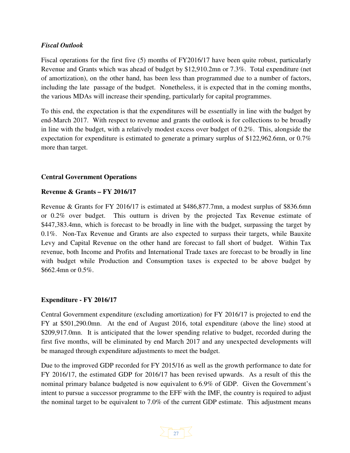#### *Fiscal Outlook*

Fiscal operations for the first five (5) months of FY2016/17 have been quite robust, particularly Revenue and Grants which was ahead of budget by \$12,910.2mn or 7.3%. Total expenditure (net of amortization), on the other hand, has been less than programmed due to a number of factors, including the late passage of the budget. Nonetheless, it is expected that in the coming months, the various MDAs will increase their spending, particularly for capital programmes.

To this end, the expectation is that the expenditures will be essentially in line with the budget by end-March 2017. With respect to revenue and grants the outlook is for collections to be broadly in line with the budget, with a relatively modest excess over budget of 0.2%. This, alongside the expectation for expenditure is estimated to generate a primary surplus of \$122,962.6mn, or 0.7% more than target.

#### **Central Government Operations**

#### **Revenue & Grants – FY 2016/17**

Revenue & Grants for FY 2016/17 is estimated at \$486,877.7mn, a modest surplus of \$836.6mn or 0.2% over budget. This outturn is driven by the projected Tax Revenue estimate of \$447,383.4mn, which is forecast to be broadly in line with the budget, surpassing the target by 0.1%. Non-Tax Revenue and Grants are also expected to surpass their targets, while Bauxite Levy and Capital Revenue on the other hand are forecast to fall short of budget. Within Tax revenue, both Income and Profits and International Trade taxes are forecast to be broadly in line with budget while Production and Consumption taxes is expected to be above budget by \$662.4mn or 0.5%.

#### **Expenditure - FY 2016/17**

Central Government expenditure (excluding amortization) for FY 2016/17 is projected to end the FY at \$501,290.0mn. At the end of August 2016, total expenditure (above the line) stood at \$209,917.0mn. It is anticipated that the lower spending relative to budget, recorded during the first five months, will be eliminated by end March 2017 and any unexpected developments will be managed through expenditure adjustments to meet the budget.

Due to the improved GDP recorded for FY 2015/16 as well as the growth performance to date for FY 2016/17, the estimated GDP for 2016/17 has been revised upwards. As a result of this the nominal primary balance budgeted is now equivalent to 6.9% of GDP. Given the Government's intent to pursue a successor programme to the EFF with the IMF, the country is required to adjust the nominal target to be equivalent to 7.0% of the current GDP estimate. This adjustment means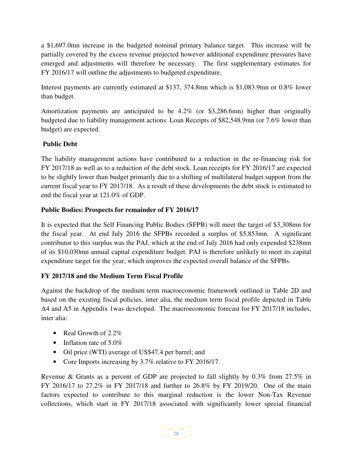a \$1,697.0mn increase in the budgeted nominal primary balance target. This increase will be partially covered by the excess revenue projected however additional expenditure pressures have emerged and adjustments will therefore be necessary. The first supplementary estimates for FY 2016/17 will outline the adjustments to budgeted expenditure.

Interest payments are currently estimated at \$137, 374.8mn which is \$1,083.9mn or 0.8% lower than budget.

Amortization payments are anticipated to be 4.2% (or \$3,286.6mn) higher than originally budgeted due to liability management actions. Loan Receipts of \$82,548.9mn (or 7.6% lower than budget) are expected.

#### **Public Debt**

The liability management actions have contributed to a reduction in the re-financing risk for FY 2017/18 as well as to a reduction of the debt stock. Loan receipts for FY 2016/17 are expected to be slightly lower than budget primarily due to a shifting of multilateral budget support from the current fiscal year to FY 2017/18. As a result of these developments the debt stock is estimated to end the fiscal year at 121.0% of GDP.

#### **Public Bodies: Prospects for remainder of FY 2016/17**

It is expected that the Self Financing Public Bodies (SFPB) will meet the target of \$3,308mn for the fiscal year. At end July 2016 the SFPBs recorded a surplus of \$5,853mn. A significant contributor to this surplus was the PAJ, which at the end of July 2016 had only expended \$238mn of its \$10,030mn annual capital expenditure budget. PAJ is therefore unlikely to meet its capital expenditure target for the year, which improves the expected overall balance of the SFPBs.

#### **FY 2017/18 and the Medium Term Fiscal Profile**

Against the backdrop of the medium term macroeconomic framework outlined in Table 2D and based on the existing fiscal policies, inter alia, the medium term fiscal profile depicted in Table A4 and A5 in Appendix 1was developed. The macroeconomic forecast for FY 2017/18 includes, inter alia:

- Real Growth of 2.2%
- Inflation rate of  $5.0\%$
- Oil price (WTI) average of US\$47.4 per barrel; and
- Core Imports increasing by 3.7% relative to FY 2016/17.

Revenue & Grants as a percent of GDP are projected to fall slightly by 0.3% from 27.5% in FY 2016/17 to 27.2% in FY 2017/18 and further to 26.8% by FY 2019/20. One of the main factors expected to contribute to this marginal reduction is the lower Non-Tax Revenue collections, which start in FY 2017/18 associated with significantly lower special financial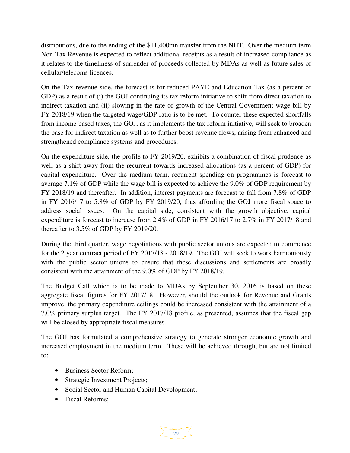distributions, due to the ending of the \$11,400mn transfer from the NHT. Over the medium term Non-Tax Revenue is expected to reflect additional receipts as a result of increased compliance as it relates to the timeliness of surrender of proceeds collected by MDAs as well as future sales of cellular/telecoms licences.

On the Tax revenue side, the forecast is for reduced PAYE and Education Tax (as a percent of GDP) as a result of (i) the GOJ continuing its tax reform initiative to shift from direct taxation to indirect taxation and (ii) slowing in the rate of growth of the Central Government wage bill by FY 2018/19 when the targeted wage/GDP ratio is to be met. To counter these expected shortfalls from income based taxes, the GOJ, as it implements the tax reform initiative, will seek to broaden the base for indirect taxation as well as to further boost revenue flows, arising from enhanced and strengthened compliance systems and procedures.

On the expenditure side, the profile to FY 2019/20, exhibits a combination of fiscal prudence as well as a shift away from the recurrent towards increased allocations (as a percent of GDP) for capital expenditure. Over the medium term, recurrent spending on programmes is forecast to average 7.1% of GDP while the wage bill is expected to achieve the 9.0% of GDP requirement by FY 2018/19 and thereafter. In addition, interest payments are forecast to fall from 7.8% of GDP in FY 2016/17 to 5.8% of GDP by FY 2019/20, thus affording the GOJ more fiscal space to address social issues. On the capital side, consistent with the growth objective, capital expenditure is forecast to increase from 2.4% of GDP in FY 2016/17 to 2.7% in FY 2017/18 and thereafter to 3.5% of GDP by FY 2019/20.

During the third quarter, wage negotiations with public sector unions are expected to commence for the 2 year contract period of FY 2017/18 - 2018/19. The GOJ will seek to work harmoniously with the public sector unions to ensure that these discussions and settlements are broadly consistent with the attainment of the 9.0% of GDP by FY 2018/19.

The Budget Call which is to be made to MDAs by September 30, 2016 is based on these aggregate fiscal figures for FY 2017/18. However, should the outlook for Revenue and Grants improve, the primary expenditure ceilings could be increased consistent with the attainment of a 7.0% primary surplus target. The FY 2017/18 profile, as presented, assumes that the fiscal gap will be closed by appropriate fiscal measures.

The GOJ has formulated a comprehensive strategy to generate stronger economic growth and increased employment in the medium term. These will be achieved through, but are not limited to:

- Business Sector Reform;
- Strategic Investment Projects;
- Social Sector and Human Capital Development;
- Fiscal Reforms;

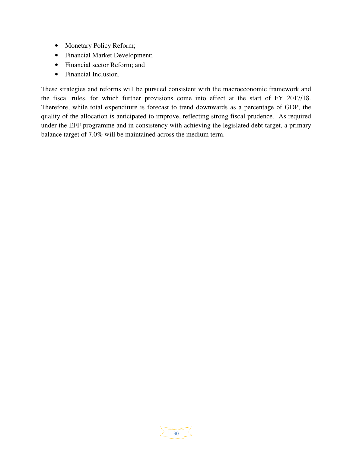- Monetary Policy Reform;
- Financial Market Development;
- Financial sector Reform; and
- Financial Inclusion.

These strategies and reforms will be pursued consistent with the macroeconomic framework and the fiscal rules, for which further provisions come into effect at the start of FY 2017/18. Therefore, while total expenditure is forecast to trend downwards as a percentage of GDP, the quality of the allocation is anticipated to improve, reflecting strong fiscal prudence. As required under the EFF programme and in consistency with achieving the legislated debt target, a primary balance target of 7.0% will be maintained across the medium term.

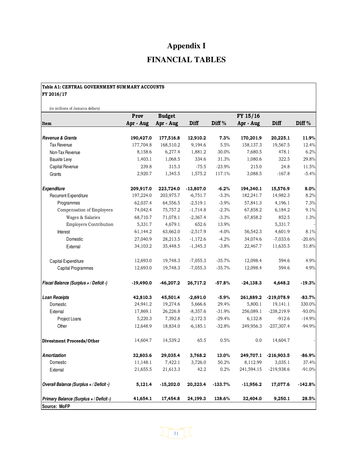# **Appendix I FINANCIAL TABLES**

| Table A1: CENTRAL GOVERNMENT SUMMARY ACCOUNTS |             |               |             |                   |             |              |           |  |  |  |
|-----------------------------------------------|-------------|---------------|-------------|-------------------|-------------|--------------|-----------|--|--|--|
| FY 2016/17                                    |             |               |             |                   |             |              |           |  |  |  |
| (in millions of Jamaica dollars)              |             |               |             |                   |             |              |           |  |  |  |
|                                               | Prov        | <b>Budget</b> |             |                   | FY 15/16    |              |           |  |  |  |
| Item                                          | Apr - Aug   | Apr - Aug     | DHI         | Diff <sup>%</sup> | Apr - Aug   | Diff         | Diff%     |  |  |  |
| <b>Revenue &amp; Grants</b>                   | 190,427.0   | 177,516.8     | 12,910.2    | 7.3%              | 170,201.9   | 20,225.1     | 11.9%     |  |  |  |
| Tax Revenue                                   | 177,704.8   | 168,510.2     | 9,194.6     | 5.5%              | 158,137.3   | 19,567.5     | 12.4%     |  |  |  |
| Non-Tax Revenue                               | 8,158.6     | 6,277.4       | 1,881.2     | 30.0%             | 7,680.5     | 478.1        | 6.2%      |  |  |  |
| <b>Bauxite Levy</b>                           | 1,403.1     | 1,068.5       | 334.6       | 31.3%             | 1,080.6     | 322.5        | 29.8%     |  |  |  |
| Capital Revenue                               | 239.8       | 315.3         | $-75.5$     | $-23.9%$          | 215.0       | 24.8         | 11.5%     |  |  |  |
| Grants                                        | 2,920.7     | 1,345.5       | 1,575.2     | 117.1%            | 3,088.5     | $-167.8$     | $-5.4%$   |  |  |  |
| <b>Expenditure</b>                            | 209,917.0   | 223,724.0     | $-13,807.0$ | $-6.2%$           | 194,340.1   | 15,576.9     | 8.0%      |  |  |  |
| <b>Recurrent Expenditure</b>                  | 197,224.0   | 203,975.7     | $-6,751.7$  | $-3.3%$           | 182,241.7   | 14,982.3     | 8.2%      |  |  |  |
| Programmes                                    | 62,037.4    | 64,556.5      | $-2,519.1$  | $-3.9%$           | 57,841.3    | 4,196.1      | 7.3%      |  |  |  |
| Compensation of Employees                     | 74,042.4    | 75,757.2      | $-1,714.8$  | $-2.3%$           | 67,858.2    | 6,184.2      | 9.1%      |  |  |  |
| Wages & Salaries                              | 68,710.7    | 71,078.1      | $-2,367.4$  | $-3.3%$           | 67,858.2    | 852.5        | 1.3%      |  |  |  |
| <b>Employers Contribution</b>                 | 5,331.7     | 4,679.1       | 652.6       | 13.9%             |             | 5,331.7      |           |  |  |  |
| Interest                                      | 61,144.2    | 63,662.0      | $-2,517.9$  | $-4.0%$           | 56,542.3    | 4,601.9      | 8.1%      |  |  |  |
| Domestic                                      | 27,040.9    | 28,213.5      | $-1,172.6$  | $-4.2%$           | 34,074.6    | $-7,033.6$   | $-20.6%$  |  |  |  |
| External                                      | 34,103.2    | 35,448.5      | $-1,345.3$  | $-3.8%$           | 22,467.7    | 11,635.5     | 51.8%     |  |  |  |
| Capital Expenditure                           | 12,693.0    | 19,748.3      | $-7,055.3$  | $-35.7%$          | 12,098.4    | 594.6        | 4.9%      |  |  |  |
| Capital Programmes                            | 12,693.0    | 19,748.3      | $-7,055.3$  | $-35.7%$          | 12,098.4    | 594.6        | 4.9%      |  |  |  |
| Fiscal Balance (Surplus + / Deficit -)        | $-19,490.0$ | $-46,207.2$   | 26,717.2    | $-57.8%$          | $-24,138.3$ | 4,648.2      | $-19.3%$  |  |  |  |
| <b>Loan Receipts</b>                          | 42,810.3    | 45,501.4      | $-2,691.0$  | $-5.9%$           | 261,889.2   | $-219,078.9$ | $-83.7%$  |  |  |  |
| Domestic                                      | 24,941.2    | 19,274.6      | 5,666.6     | 29.4%             | 5,800.1     | 19,141.1     | 330.0%    |  |  |  |
| External                                      | 17,869.1    | 26,226.8      | $-8,357.6$  | $-31.9%$          | 256,089.1   | $-238,219.9$ | $-93.0%$  |  |  |  |
| Project Loans                                 | 5,220.3     | 7,392.8       | $-2,172.5$  | $-29.4%$          | 6,132.8     | $-912.6$     | $-14.9%$  |  |  |  |
| Other                                         | 12,648.9    | 18,834.0      | $-6,185.1$  | $-32.8%$          | 249,956.3   | $-237,307.4$ | $-94.9%$  |  |  |  |
| Divestment Proceeds/Other                     | 14,604.7    | 14,539.2      | 65.5        | 0.5%              | 0.0         | 14,604.7     |           |  |  |  |
| <b>Amortization</b>                           | 32,803.6    | 29,035.4      | 3,768.2     | 13.0%             | 249,707.1   | $-216,903.5$ | $-86.9%$  |  |  |  |
| Domestic                                      | 11,148.1    | 7,422.1       | 3,726.0     | 50.2%             | 8,112.99    | 3,035.1      | 37.4%     |  |  |  |
| External                                      | 21,655.5    | 21,613.3      | 42.2        | 0.2%              | 241,594.15  | $-219,938.6$ | $-91.0%$  |  |  |  |
| Overall Balance (Surplus + / Deficit -)       | 5,121.4     | $-15,202.0$   | 20,323.4    | $-133.7%$         | $-11,956.2$ | 17,077.6     | $-142.8%$ |  |  |  |
| Primary Balance (Surplus + / Deficit -)       | 41,654.1    | 17,454.8      | 24,199.3    | 138.6%            | 32,404.0    | 9,250.1      | 28.5%     |  |  |  |
| Source: MoFP                                  |             |               |             |                   |             |              |           |  |  |  |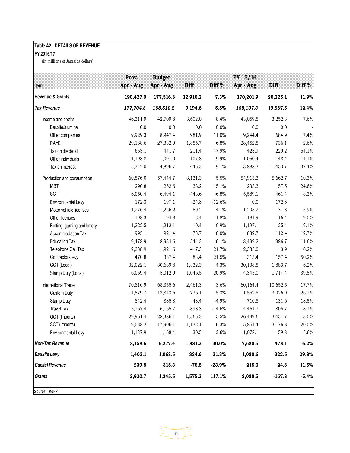#### **Table A2: DETAILS OF REVENUE**

#### **FY 2016/17**

(in millions of Jamaica dollars)

| <b>Item</b>                 | Prov.<br>Apr - Aug | <b>Budget</b><br>Apr - Aug | Diff     | Diff <sup>%</sup> | $FY$ 15/16<br>Apr - Aug | Diff     | Diff <sup>%</sup> |
|-----------------------------|--------------------|----------------------------|----------|-------------------|-------------------------|----------|-------------------|
| <b>Revenue &amp; Grants</b> | 190,427.0          | 177,516.8                  | 12,910.2 | 7.3%              | 170,201.9               | 20,225.1 | 11.9%             |
| <b>Tax Revenue</b>          | 177,704.8          | 168,510.2                  | 9,194.6  | 5.5%              | 158,137.3               | 19,567.5 | 12.4%             |
| Income and profits          | 46,311.9           | 42,709.8                   | 3,602.0  | 8.4%              | 43,059.5                | 3,252.3  | 7.6%              |
| Bauxite/alumina             | 0.0                | $0.0\,$                    | 0.0      | $0.0\%$           | 0.0                     | 0.0      |                   |
| Other companies             | 9,929.3            | 8,947.4                    | 981.9    | 11.0%             | 9,244.4                 | 684.9    | 7.4%              |
| PAYE                        | 29,188.6           | 27,332.9                   | 1,855.7  | 6.8%              | 28,452.5                | 736.1    | 2.6%              |
| Tax on dividend             | 653.1              | 441.7                      | 211.4    | 47.9%             | 423.9                   | 229.2    | 54.1%             |
| Other individuals           | 1,198.8            | 1,091.0                    | 107.8    | 9.9%              | 1,050.4                 | 148.4    | 14.1%             |
| Tax on interest             | 5,342.0            | 4,896.7                    | 445.3    | 9.1%              | 3,888.3                 | 1,453.7  | 37.4%             |
| Production and consumption  | 60,576.0           | 57,444.7                   | 3,131.3  | 5.5%              | 54,913.3                | 5,662.7  | 10.3%             |
| <b>MBT</b>                  | 290.8              | 252.6                      | 38.2     | 15.1%             | 233.3                   | 57.5     | 24.6%             |
| SCT                         | 6,050.4            | 6,494.1                    | $-443.6$ | $-6.8%$           | 5,589.1                 | 461.4    | 8.3%              |
| Environmental Levy          | 172.3              | 197.1                      | $-24.8$  | $-12.6%$          | 0.0                     | 172.3    |                   |
| Motor vehicle licenses      | 1,276.4            | 1,226.2                    | 50.2     | 4.1%              | 1,205.2                 | 71.3     | 5.9%              |
| Other licenses              | 198.3              | 194.8                      | 3.4      | $1.8\%$           | 181.9                   | 16.4     | 9.0%              |
| Betting, gaming and lottery | 1,222.5            | 1,212.1                    | 10.4     | 0.9%              | 1,197.1                 | 25.4     | 2.1%              |
| Accommodation Tax           | 995.1              | 921.4                      | 73.7     | 8.0%              | 882.7                   | 112.4    | 12.7%             |
| <b>Education Tax</b>        | 9,478.9            | 8,934.6                    | 544.3    | 6.1%              | 8,492.2                 | 986.7    | 11.6%             |
| Telephone Call Tax          | 2,338.9            | 1,921.6                    | 417.3    | 21.7%             | 2,335.0                 | 3.9      | 0.2%              |
| Contractors levy            | 470.8              | 387.4                      | 83.4     | 21.5%             | 313.4                   | 157.4    | 50.2%             |
| GCT (Local)                 | 32,022.1           | 30,689.8                   | 1,332.3  | 4.3%              | 30,138.5                | 1,883.7  | 6.2%              |
| Stamp Duty (Local)          | 6,059.4            | 5,012.9                    | 1,046.5  | 20.9%             | 4,345.0                 | 1,714.4  | 39.5%             |
| International Trade         | 70,816.9           | 68,355.6                   | 2,461.3  | 3.6%              | 60,164.4                | 10,652.5 | 17.7%             |
| <b>Custom Duty</b>          | 14,579.7           | 13,843.6                   | 736.1    | 5.3%              | 11,552.8                | 3,026.9  | 26.2%             |
| Stamp Duty                  | 842.4              | 885.8                      | $-43.4$  | $-4.9%$           | 710.8                   | 131.6    | 18.5%             |
| <b>Travel Tax</b>           | 5,267.4            | 6,165.7                    | $-898.3$ | $-14.6%$          | 4,461.7                 | 805.7    | 18.1%             |
| GCT (Imports)               | 29,951.4           | 28,386.1                   | 1,565.3  | 5.5%              | 26,499.6                | 3,451.7  | 13.0%             |
| SCT (imports)               | 19,038.2           | 17,906.1                   | 1,132.1  | 6.3%              | 15,861.4                | 3,176.8  | 20.0%             |
| Environmental Levy          | 1,137.9            | 1,168.4                    | $-30.5$  | $-2.6%$           | 1,078.1                 | 59.8     | 5.6%              |
| <b>Non-Tax Revenue</b>      | 8,158.6            | 6,277.4                    | 1,881.2  | 30.0%             | 7,680.5                 | 478.1    | 6.2%              |
| <b>Bauxite Levy</b>         | 1,403.1            | 1,068.5                    | 334.6    | 31.3%             | 1,080.6                 | 322.5    | 29.8%             |
| <b>Capital Revenue</b>      | 239.8              | 315.3                      | $-75.5$  | $-23.9%$          | 215.0                   | 24.8     | 11.5%             |
| Grants                      | 2,920.7            | 1,345.5                    | 1,575.2  | 117.1%            | 3,088.5                 | $-167.8$ | $-5.4%$           |

 $\sum$ <sub>32</sub> $\sum$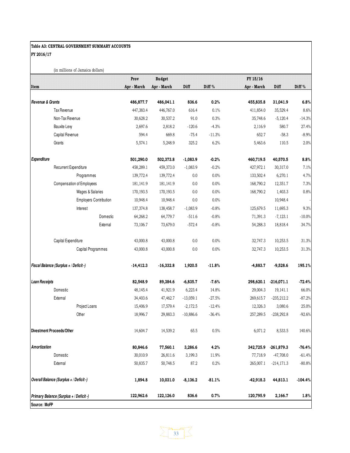#### Table A3: CENTRAL GOVERNMENT SUMMARY ACCOUNTS FY 2016/17

(in millions of Jamaica dollars)

|                                         |                                         | Prov        | <b>Budget</b> |             |                   | FY 15/16  |              |           |
|-----------------------------------------|-----------------------------------------|-------------|---------------|-------------|-------------------|-----------|--------------|-----------|
| Item                                    |                                         | Apr - March | Apr - March   | Diff        | Diff <sup>%</sup> | Apr March | Diff         | Diff%     |
|                                         |                                         |             |               |             |                   |           |              |           |
| Revenue & Grants                        |                                         | 486,877.7   | 486,041.1     | 836.6       | 0.2%              | 455,835.8 | 31,041.9     | 6.8%      |
|                                         | Tax Revenue                             | 447,383.4   | 446,767.0     | 616.4       | 0.1%              | 411,854.0 | 35,529.4     | 8.6%      |
|                                         | Non-Tax Revenue                         | 30,628.2    | 30,537.2      | 91.0        | 0.3%              | 35,748.6  | $-5,120.4$   | $-14.3%$  |
|                                         | <b>Bauxite Levy</b>                     | 2,697.6     | 2,818.2       | $-120.6$    | $-4.3%$           | 2,116.9   | 580.7        | 27.4%     |
|                                         | Capital Revenue                         | 594.4       | 669.8         | $-75.4$     | $-11.3%$          | 652.7     | $-58.3$      | $-8.9%$   |
|                                         | Grants                                  | 5,574.1     | 5,248.9       | 325.2       | 6.2%              | 5,463.6   | 110.5        | 2.0%      |
| Expenditure                             |                                         | 501,290.0   | 502,373.8     | $-1,083.9$  | $-0.2%$           | 460,719.5 | 40,570.5     | 8.8%      |
|                                         | Recurrent Expenditure                   | 458,289.1   | 459,373.0     | $-1,083.9$  | $-0.2%$           | 427,972.1 | 30,317.0     | 7.1%      |
|                                         | Programmes                              | 139,772.4   | 139,772.4     | 0.0         | 0.0%              | 133,502.4 | 6,270.1      | 4.7%      |
|                                         | Compensation of Employees               | 181,141.9   | 181,141.9     | 0.0         | 0.0%              | 168,790.2 | 12,351.7     | 7.3%      |
|                                         | Wages & Salaries                        | 170,193.5   | 170, 193.5    | 0.0         | $0.0\%$           | 168,790.2 | 1,403.3      | $0.8\%$   |
|                                         | <b>Employers Contribution</b>           | 10,948.4    | 10,948.4      | 0.0         | 0.0%              |           | 10,948.4     |           |
|                                         | Interest                                | 137,374.8   | 138,458.7     | $-1,083.9$  | $-0.8%$           | 125,679.5 | 11,695.3     | 9.3%      |
|                                         | Domestic                                | 64,268.2    | 64,779.7      | $-511.6$    | $-0.8%$           | 71,391.3  | $-7,123.1$   | $-10.0\%$ |
|                                         | External                                | 73,106.7    | 73,679.0      | $-572.4$    | $-0.8%$           | 54,288.3  | 18,818.4     | 34.7%     |
|                                         | Capital Expenditure                     | 43,000.8    | 43,000.8      | $0.0\,$     | 0.0%              | 32,747.3  | 10,253.5     | 31.3%     |
|                                         | Capital Programmes                      | 43,000.8    | 43,000.8      | 0.0         | 0.0%              | 32,747.3  | 10,253.5     | 31.3%     |
|                                         | Fiscal Balance (Surplus + / Deficit -)  | $-14,412.3$ | $-16,332.8$   | 1,920.5     | $-11.8%$          | -4,883.7  | $-9,528.6$   | 195.1%    |
| <b>Loan Receipts</b>                    |                                         | 82,548.9    | 89,384.6      | $-6,835.7$  | $-7.6%$           | 298,620.1 | $-216,071.1$ | $-72.4%$  |
|                                         | Domestic                                | 48,145.4    | 41,921.9      | 6,223.4     | 14.8%             | 29,004.3  | 19,141.1     | 66.0%     |
|                                         | External                                | 34,403.6    | 47,462.7      | $-13,059.1$ | $-27.5%$          | 269,615.7 | $-235,212.2$ | $-87.2%$  |
|                                         | Project Loans                           | 15,406.9    | 17,579.4      | $-2,172.5$  | $-12.4%$          | 12,326.3  | 3,080.6      | 25.0%     |
|                                         | Other                                   | 18,996.7    | 29,883.3      | $-10,886.6$ | $-36.4%$          | 257,289.5 | $-238,292.8$ | $-92.6%$  |
|                                         | Divestment Proceeds/Other               | 14,604.7    | 14,539.2      | 65.5        | $0.5\%$           | 6,071.2   | 8,533.5      | 140.6%    |
| Amortization                            |                                         | 80,846.6    | 77,560.1      | 3,286.6     | 4.2%              | 342,725.9 | $-261,879.3$ | $-76.4%$  |
|                                         | Domestic                                | 30,010.9    | 26,811.6      | 3,199.3     | 11.9%             | 77,718.9  | $-47,708.0$  | $-61.4%$  |
|                                         | External                                | 50,835.7    | 50,748.5      | 87.2        | 0.2%              | 265,007.1 | $-214,171.3$ | $-80.8%$  |
| Overall Balance (Surplus + / Deficit -) |                                         | 1,894.8     | 10,031.0      | $-8,136.2$  | $-81.1%$          | -42,918.3 | 44,813.1     | $-104.4%$ |
|                                         | Primary Balance (Surplus + / Deficit -) | 122,962.6   | 122,126.0     | 836.6       | 0.7%              | 120,795.9 | 2,166.7      | 1.8%      |
| Source: MoFP                            |                                         |             |               |             |                   |           |              |           |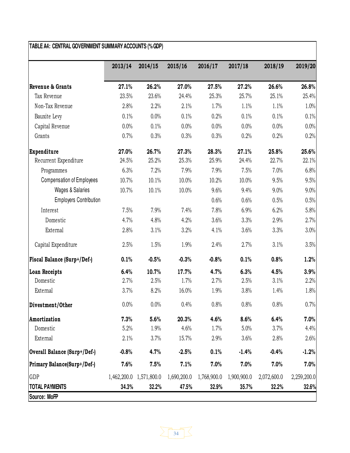|                                    | 2013/14     | 2014/15     | 2015/16     | 2016/17     | 2017/18     | 2018/19     | 2019/20     |
|------------------------------------|-------------|-------------|-------------|-------------|-------------|-------------|-------------|
| Revenue & Grants                   | 27.1%       | 26.2%       | 27.0%       | 27.5%       | 27.2%       | 26.6%       | 26.8%       |
| Tax Revenue                        | 23.5%       | 23.6%       | 24.4%       | 25.3%       | 25.7%       | 25.1%       | 25.4%       |
| Non-Tax Revenue                    | 2.8%        | 2.2%        | 2.1%        | 1.7%        | 1.1%        | 1.1%        | 1.0%        |
| Bauxite Levy                       | 0.1%        | 0.0%        | 0.1%        | 0.2%        | 0.1%        | 0.1%        | 0.1%        |
| Capital Revenue                    | 0.0%        | 0.1%        | 0.0%        | 0.0%        | 0.0%        | 0.0%        | 0.0%        |
| Grants                             | 0.7%        | 0.3%        | 0.3%        | 0.3%        | 0.2%        | 0.2%        | 0.2%        |
| <b>Expenditure</b>                 | 27.0%       | 26.7%       | 27.3%       | 28.3%       | 27.1%       | 25.8%       | 25.6%       |
| Recurrent Expenditure              | 24.5%       | 25.2%       | 25.3%       | 25.9%       | 24.4%       | 22.7%       | 22.1%       |
| Programmes                         | 6.3%        | 7.2%        | 7.9%        | 7.9%        | 7.5%        | 7.0%        | 6.8%        |
| <b>Compensation of Employees</b>   | 10.7%       | 10.1%       | 10.0%       | 10.2%       | 10.0%       | 9.5%        | 9.5%        |
| <b>Wages &amp; Salaries</b>        | 10.7%       | 10.1%       | 10.0%       | 9.6%        | 9.4%        | 9.0%        | 9.0%        |
| <b>Employers Contribution</b>      |             |             |             | 0.6%        | 0.6%        | 0.5%        | 0.5%        |
| Interest                           | 7.5%        | 7.9%        | 7.4%        | 7.8%        | 6.9%        | 6.2%        | 5.8%        |
| Domestic                           | 4.7%        | 4.8%        | 4.2%        | 3.6%        | 3.3%        | 2.9%        | 2.7%        |
| External                           | 2.8%        | 3.1%        | 3.2%        | 4.1%        | 3.6%        | 3.3%        | 3.0%        |
| Capital Expenditure                | 2.5%        | 1.5%        | 1.9%        | 2.4%        | 2.7%        | 3.1%        | 3.5%        |
| <b>Fiscal Balance (Surp+/Def-)</b> | 0.1%        | $-0.5%$     | $-0.3%$     | $-0.8%$     | 0.1%        | 0.8%        | 1.2%        |
| Loan Receipts                      | 6.4%        | 10.7%       | 17.7%       | 4.7%        | 6.3%        | 4.5%        | 3.9%        |
| Domestic                           | 2.7%        | 2.5%        | 1.7%        | 2.7%        | 2.5%        | 3.1%        | 2.2%        |
| External                           | 3.7%        | 8.2%        | 16.0%       | 1.9%        | 3.8%        | 1.4%        | 1.8%        |
| Divestment/Other                   | 0.0%        | 0.0%        | 0.4%        | 0.8%        | 0.8%        | 0.8%        | 0.7%        |
| Amortization                       | 7.3%        | 5.6%        | 20.3%       | 4.6%        | 8.6%        | 6.4%        | 7.0%        |
| Domestic                           | 5.2%        | 1.9%        | 4.6%        | 1.7%        | 5.0%        | 3.7%        | 4.4%        |
| External                           | 2.1%        | 3.7%        | 15.7%       | 2.9%        | 3.6%        | 2.8%        | 2.6%        |
| Overall Balance (Surp+/Def-)       | $-0.8%$     | 4.7%        | $-2.5%$     | 0.1%        | $-1.4%$     | $-0.4%$     | $-1.2%$     |
| Primary Balance(Surp+/Def-)        | 7.6%        | 7.5%        | 7.1%        | 7.0%        | 7.0%        | 7.0%        | 7.0%        |
| GDP                                | 1,462,200.0 | 1,571,800.0 | 1,690,200.0 | 1,768,900.0 | 1,900,900.0 | 2,072,600.0 | 2,259,200.0 |
| <b>TOTAL PAYMENTS</b>              | 34.3%       | 32.2%       | 47.5%       | 32.9%       | 35.7%       | 32.2%       | 32.6%       |

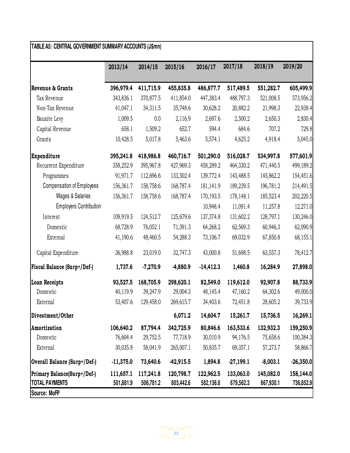|                                                      | 2013/14                | 2014/15                | 2015/16                | 2016/17                | 2017/18                | 2018/19                | 2019/20                |
|------------------------------------------------------|------------------------|------------------------|------------------------|------------------------|------------------------|------------------------|------------------------|
| Revenue & Grants                                     | 396,979.4              | 411,715.9              | 455,835.8              | 486,877.7              | 517,489.5              | 551,282.7              | 605,499.9              |
| Tax Revenue                                          | 343,836.1              | 370,877.5              | 411,854.0              | 447,383.4              | 488,797.3              | 521,008.5              | 573,956.2              |
| Non-Tax Revenue                                      | 41,047.1               | 34,311.5               | 35,748.6               | 30,628.2               | 20,882.2               | 21,998.3               | 22,938.4               |
| Bauxite Levy                                         | 1,009.5                | 0.0                    | 2,116.9                | 2,697.6                | 2,500.2                | 2,650.3                | 2,830.4                |
| Capital Revenue                                      | 658.1                  | 1,509.2                | 652.7                  | 594.4                  | 684.6                  | 707.2                  | 729.8                  |
| Grants                                               | 10,428.5               | 5,017.8                | 5,463.6                | 5,574.1                | 4,625.2                | 4,918.4                | 5,045.0                |
| Expenditure                                          | 395,241.8              | 418,986.8              | 460,716.7              | 501,290.0              | 516,028.7              | 534,997.8              | 577,601.9              |
| Recurrent Expenditure                                | 358,252.9              | 395,967.8              | 427,969.3              | 458,289.2              | 464,330.2              | 471,440.5              | 499,189.2              |
| Programmes                                           | 91,971.7               | 112,696.6              | 133,502.4              | 139,772.4              | 143,488.5              | 145,862.2              | 154,451.6              |
| <b>Compensation of Employees</b>                     | 156,361.7              | 158,758.6              | 168,787.4              | 181,141.9              | 189,239.5              | 196,781.2              | 214,491.5              |
| <b>Wages &amp; Salaries</b>                          | 156,361.7              | 158,758.6              | 168,787.4              | 170,193.5              | 178,148.1              | 185,523.4              | 202,220.5              |
| <b>Employers Contribution</b>                        |                        |                        |                        | 10,948.4               | 11,091.4               | 11,257.8               | 12,271.0               |
| Interest                                             | 109,919.5              | 124,512.7              | 125,679.6              | 137,374.8              | 131,602.2              | 128,797.1              | 130,246.0              |
| Domestic                                             | 68,728.9               | 76,052.1               | 71,391.3               | 64,268.2               | 62,569.3               | 60,946.3               | 62,090.9               |
| External                                             | 41,190.6               | 48,460.5               | 54,288.3               | 73,106.7               | 69,032.9               | 67,850.8               | 68,155.1               |
| Capital Expenditure                                  | 36,988.8               | 23,019.0               | 32,747.3               | 43,000.8               | 51,698.5               | 63,557.3               | 78,412.7               |
| <b>Fiscal Balance (Surp+/Def-)</b>                   | 1,737.6                | $-7,270.9$             | -4,880.9               | $-14,412.3$            | 1,460.8                | 16,284.9               | 27,898.0               |
| <b>Loan Receipts</b>                                 | 93,527.5               | 168,705.9              | 298,620.1              | 82,549.0               | 119,612.0              | 92,907.8               | 88,733.9               |
| Domestic                                             | 40,119.9               | 39,247.9               | 29,004.3               | 48,145.4               | 47,160.2               | 64,302.6               | 49,000.0               |
| External                                             | 53,407.6               | 129,458.0              | 269,615.7              | 34,403.6               | 72,451.8               | 28,605.2               | 39,733.9               |
| Divestment/Other                                     |                        |                        | 6,071.2                | 14,604.7               | 15,261.7               | 15,736.5               | 16,269.1               |
| Amortization                                         | 106,640.2              | 87,794.4               | 342,725.9              | 80,846.6               | 163,533.6              | 132,932.3              | 159,250.9              |
| Domestic                                             | 76,604.4               | 29,752.5               | 77,718.9               | 30,010.9               | 94,176.5               | 75,658.6               | 100,384.3              |
| External                                             | 30,035.8               | 58,041.9               | 265,007.1              | 50,835.7               | 69,357.1               | 57,273.7               | 58,866.7               |
| Overall Balance (Surp+/Def-)                         | $-11,375.0$            | 73,640.6               | $-42,915.5$            | 1,894.8                | $-27,199.1$            | $-8,003.1$             | $-26,350.0$            |
| Primary Balance(Surp+/Def-)<br><b>TOTAL PAYMENTS</b> | 111,657.1<br>501,881.9 | 117,241.8<br>506,781.2 | 120,798.7<br>803,442.6 | 122,962.5<br>582,136.6 | 133,063.0<br>679,562.3 | 145,082.0<br>667,930.1 | 158,144.0<br>736,852.9 |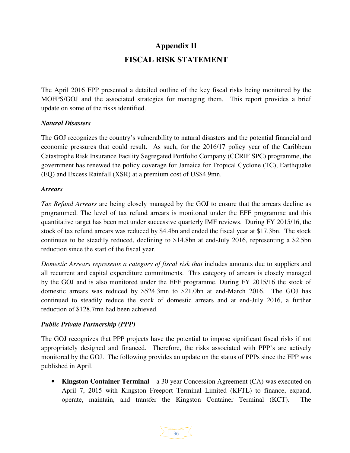# **Appendix II FISCAL RISK STATEMENT**

The April 2016 FPP presented a detailed outline of the key fiscal risks being monitored by the MOFPS/GOJ and the associated strategies for managing them. This report provides a brief update on some of the risks identified.

#### *Natural Disasters*

The GOJ recognizes the country's vulnerability to natural disasters and the potential financial and economic pressures that could result. As such, for the 2016/17 policy year of the Caribbean Catastrophe Risk Insurance Facility Segregated Portfolio Company (CCRIF SPC) programme, the government has renewed the policy coverage for Jamaica for Tropical Cyclone (TC), Earthquake (EQ) and Excess Rainfall (XSR) at a premium cost of US\$4.9mn.

#### *Arrears*

*Tax Refund Arrears* are being closely managed by the GOJ to ensure that the arrears decline as programmed. The level of tax refund arrears is monitored under the EFF programme and this quantitative target has been met under successive quarterly IMF reviews. During FY 2015/16, the stock of tax refund arrears was reduced by \$4.4bn and ended the fiscal year at \$17.3bn. The stock continues to be steadily reduced, declining to \$14.8bn at end-July 2016, representing a \$2.5bn reduction since the start of the fiscal year.

*Domestic Arrears represents a category of fiscal risk that includes amounts due to suppliers and* all recurrent and capital expenditure commitments. This category of arrears is closely managed by the GOJ and is also monitored under the EFF programme. During FY 2015/16 the stock of domestic arrears was reduced by \$524.3mn to \$21.0bn at end-March 2016. The GOJ has continued to steadily reduce the stock of domestic arrears and at end-July 2016, a further reduction of \$128.7mn had been achieved.

#### *Public Private Partnership (PPP)*

The GOJ recognizes that PPP projects have the potential to impose significant fiscal risks if not appropriately designed and financed. Therefore, the risks associated with PPP's are actively monitored by the GOJ. The following provides an update on the status of PPPs since the FPP was published in April.

• **Kingston Container Terminal** – a 30 year Concession Agreement (CA) was executed on April 7, 2015 with Kingston Freeport Terminal Limited (KFTL) to finance, expand, operate, maintain, and transfer the Kingston Container Terminal (KCT). The

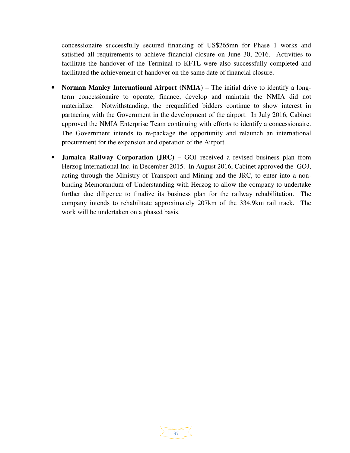concessionaire successfully secured financing of US\$265mn for Phase 1 works and satisfied all requirements to achieve financial closure on June 30, 2016. Activities to facilitate the handover of the Terminal to KFTL were also successfully completed and facilitated the achievement of handover on the same date of financial closure.

- **Norman Manley International Airport (NMIA)** The initial drive to identify a longterm concessionaire to operate, finance, develop and maintain the NMIA did not materialize. Notwithstanding, the prequalified bidders continue to show interest in partnering with the Government in the development of the airport. In July 2016, Cabinet approved the NMIA Enterprise Team continuing with efforts to identify a concessionaire. The Government intends to re-package the opportunity and relaunch an international procurement for the expansion and operation of the Airport.
- **Jamaica Railway Corporation (JRC)** GOJ received a revised business plan from Herzog International Inc. in December 2015. In August 2016, Cabinet approved the GOJ, acting through the Ministry of Transport and Mining and the JRC, to enter into a nonbinding Memorandum of Understanding with Herzog to allow the company to undertake further due diligence to finalize its business plan for the railway rehabilitation. The company intends to rehabilitate approximately 207km of the 334.9km rail track. The work will be undertaken on a phased basis.

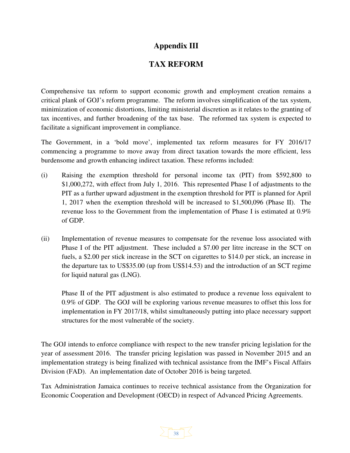## **Appendix III**

## **TAX REFORM**

Comprehensive tax reform to support economic growth and employment creation remains a critical plank of GOJ's reform programme. The reform involves simplification of the tax system, minimization of economic distortions, limiting ministerial discretion as it relates to the granting of tax incentives, and further broadening of the tax base. The reformed tax system is expected to facilitate a significant improvement in compliance.

The Government, in a 'bold move', implemented tax reform measures for FY 2016/17 commencing a programme to move away from direct taxation towards the more efficient, less burdensome and growth enhancing indirect taxation. These reforms included:

- (i) Raising the exemption threshold for personal income tax (PIT) from \$592,800 to \$1,000,272, with effect from July 1, 2016. This represented Phase I of adjustments to the PIT as a further upward adjustment in the exemption threshold for PIT is planned for April 1, 2017 when the exemption threshold will be increased to \$1,500,096 (Phase II). The revenue loss to the Government from the implementation of Phase I is estimated at 0.9% of GDP.
- (ii) Implementation of revenue measures to compensate for the revenue loss associated with Phase I of the PIT adjustment. These included a \$7.00 per litre increase in the SCT on fuels, a \$2.00 per stick increase in the SCT on cigarettes to \$14.0 per stick, an increase in the departure tax to US\$35.00 (up from US\$14.53) and the introduction of an SCT regime for liquid natural gas (LNG).

Phase II of the PIT adjustment is also estimated to produce a revenue loss equivalent to 0.9% of GDP. The GOJ will be exploring various revenue measures to offset this loss for implementation in FY 2017/18, whilst simultaneously putting into place necessary support structures for the most vulnerable of the society.

The GOJ intends to enforce compliance with respect to the new transfer pricing legislation for the year of assessment 2016. The transfer pricing legislation was passed in November 2015 and an implementation strategy is being finalized with technical assistance from the IMF's Fiscal Affairs Division (FAD). An implementation date of October 2016 is being targeted.

Tax Administration Jamaica continues to receive technical assistance from the Organization for Economic Cooperation and Development (OECD) in respect of Advanced Pricing Agreements.

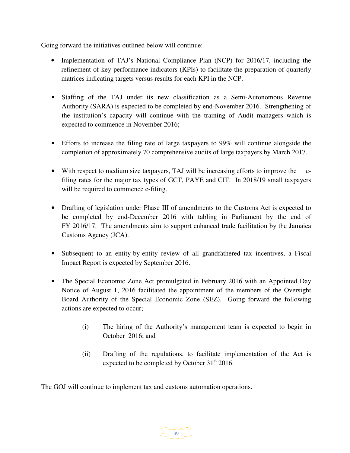Going forward the initiatives outlined below will continue:

- Implementation of TAJ's National Compliance Plan (NCP) for 2016/17, including the refinement of key performance indicators (KPIs) to facilitate the preparation of quarterly matrices indicating targets versus results for each KPI in the NCP.
- Staffing of the TAJ under its new classification as a Semi-Autonomous Revenue Authority (SARA) is expected to be completed by end-November 2016. Strengthening of the institution's capacity will continue with the training of Audit managers which is expected to commence in November 2016;
- Efforts to increase the filing rate of large taxpayers to 99% will continue alongside the completion of approximately 70 comprehensive audits of large taxpayers by March 2017.
- With respect to medium size taxpayers, TAJ will be increasing efforts to improve the efiling rates for the major tax types of GCT, PAYE and CIT. In 2018/19 small taxpayers will be required to commence e-filing.
- Drafting of legislation under Phase III of amendments to the Customs Act is expected to be completed by end-December 2016 with tabling in Parliament by the end of FY 2016/17. The amendments aim to support enhanced trade facilitation by the Jamaica Customs Agency (JCA).
- Subsequent to an entity-by-entity review of all grandfathered tax incentives, a Fiscal Impact Report is expected by September 2016.
- The Special Economic Zone Act promulgated in February 2016 with an Appointed Day Notice of August 1, 2016 facilitated the appointment of the members of the Oversight Board Authority of the Special Economic Zone (SEZ). Going forward the following actions are expected to occur;
	- (i) The hiring of the Authority's management team is expected to begin in October 2016; and
	- (ii) Drafting of the regulations, to facilitate implementation of the Act is expected to be completed by October  $31<sup>st</sup>$  2016.

The GOJ will continue to implement tax and customs automation operations.

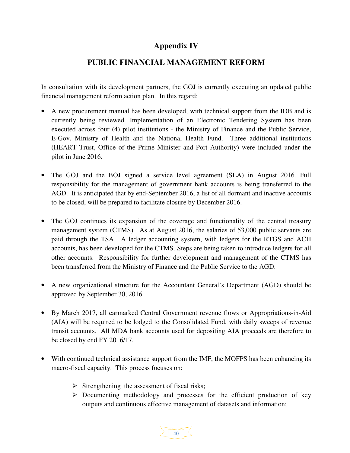## **Appendix IV**

## **PUBLIC FINANCIAL MANAGEMENT REFORM**

In consultation with its development partners, the GOJ is currently executing an updated public financial management reform action plan. In this regard:

- A new procurement manual has been developed, with technical support from the IDB and is currently being reviewed. Implementation of an Electronic Tendering System has been executed across four (4) pilot institutions - the Ministry of Finance and the Public Service, E-Gov, Ministry of Health and the National Health Fund. Three additional institutions (HEART Trust, Office of the Prime Minister and Port Authority) were included under the pilot in June 2016.
- The GOJ and the BOJ signed a service level agreement (SLA) in August 2016. Full responsibility for the management of government bank accounts is being transferred to the AGD. It is anticipated that by end-September 2016, a list of all dormant and inactive accounts to be closed, will be prepared to facilitate closure by December 2016.
- The GOJ continues its expansion of the coverage and functionality of the central treasury management system (CTMS). As at August 2016, the salaries of 53,000 public servants are paid through the TSA. A ledger accounting system, with ledgers for the RTGS and ACH accounts, has been developed for the CTMS. Steps are being taken to introduce ledgers for all other accounts. Responsibility for further development and management of the CTMS has been transferred from the Ministry of Finance and the Public Service to the AGD.
- A new organizational structure for the Accountant General's Department (AGD) should be approved by September 30, 2016.
- By March 2017, all earmarked Central Government revenue flows or Appropriations-in-Aid (AIA) will be required to be lodged to the Consolidated Fund, with daily sweeps of revenue transit accounts. All MDA bank accounts used for depositing AIA proceeds are therefore to be closed by end FY 2016/17.
- With continued technical assistance support from the IMF, the MOFPS has been enhancing its macro-fiscal capacity. This process focuses on:
	- Strengthening the assessment of fiscal risks;
	- Documenting methodology and processes for the efficient production of key outputs and continuous effective management of datasets and information;

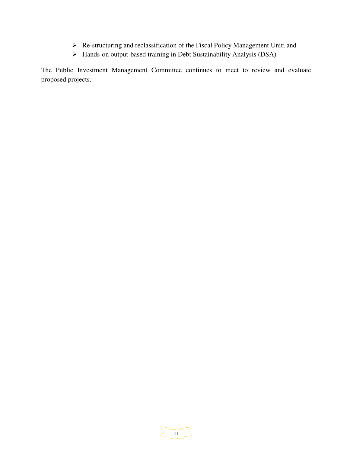- Re-structuring and reclassification of the Fiscal Policy Management Unit; and
- > Hands-on output-based training in Debt Sustainability Analysis (DSA)

The Public Investment Management Committee continues to meet to review and evaluate proposed projects.

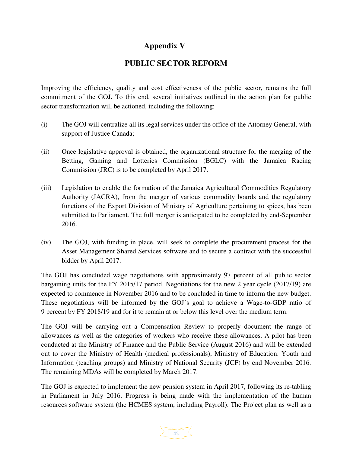## **Appendix V**

## **PUBLIC SECTOR REFORM**

Improving the efficiency, quality and cost effectiveness of the public sector, remains the full commitment of the GOJ**.** To this end, several initiatives outlined in the action plan for public sector transformation will be actioned, including the following:

- (i) The GOJ will centralize all its legal services under the office of the Attorney General, with support of Justice Canada;
- (ii) Once legislative approval is obtained, the organizational structure for the merging of the Betting, Gaming and Lotteries Commission (BGLC) with the Jamaica Racing Commission (JRC) is to be completed by April 2017.
- (iii) Legislation to enable the formation of the Jamaica Agricultural Commodities Regulatory Authority (JACRA), from the merger of various commodity boards and the regulatory functions of the Export Division of Ministry of Agriculture pertaining to spices, has been submitted to Parliament. The full merger is anticipated to be completed by end-September 2016.
- (iv) The GOJ, with funding in place, will seek to complete the procurement process for the Asset Management Shared Services software and to secure a contract with the successful bidder by April 2017.

The GOJ has concluded wage negotiations with approximately 97 percent of all public sector bargaining units for the FY 2015/17 period. Negotiations for the new 2 year cycle (2017/19) are expected to commence in November 2016 and to be concluded in time to inform the new budget. These negotiations will be informed by the GOJ's goal to achieve a Wage-to-GDP ratio of 9 percent by FY 2018/19 and for it to remain at or below this level over the medium term.

The GOJ will be carrying out a Compensation Review to properly document the range of allowances as well as the categories of workers who receive these allowances. A pilot has been conducted at the Ministry of Finance and the Public Service (August 2016) and will be extended out to cover the Ministry of Health (medical professionals), Ministry of Education. Youth and Information (teaching groups) and Ministry of National Security (JCF) by end November 2016. The remaining MDAs will be completed by March 2017.

The GOJ is expected to implement the new pension system in April 2017, following its re-tabling in Parliament in July 2016. Progress is being made with the implementation of the human resources software system (the HCMES system, including Payroll). The Project plan as well as a

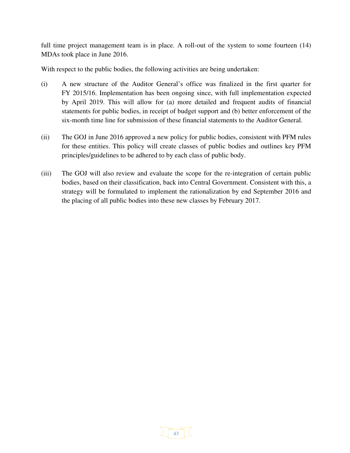full time project management team is in place. A roll-out of the system to some fourteen  $(14)$ MDAs took place in June 2016.

With respect to the public bodies, the following activities are being undertaken:

- (i) A new structure of the Auditor General's office was finalized in the first quarter for FY 2015/16. Implementation has been ongoing since, with full implementation expected by April 2019. This will allow for (a) more detailed and frequent audits of financial statements for public bodies, in receipt of budget support and (b) better enforcement of the six-month time line for submission of these financial statements to the Auditor General.
- (ii) The GOJ in June 2016 approved a new policy for public bodies, consistent with PFM rules for these entities. This policy will create classes of public bodies and outlines key PFM principles/guidelines to be adhered to by each class of public body.
- (iii) The GOJ will also review and evaluate the scope for the re-integration of certain public bodies, based on their classification, back into Central Government. Consistent with this, a strategy will be formulated to implement the rationalization by end September 2016 and the placing of all public bodies into these new classes by February 2017.

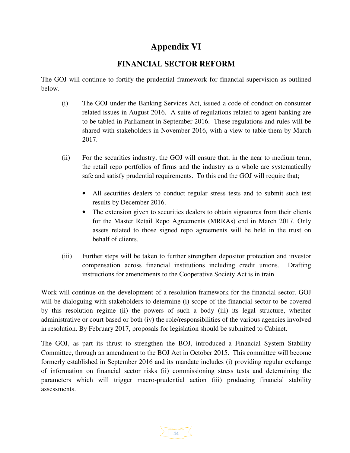# **Appendix VI**

## **FINANCIAL SECTOR REFORM**

The GOJ will continue to fortify the prudential framework for financial supervision as outlined below.

- (i) The GOJ under the Banking Services Act, issued a code of conduct on consumer related issues in August 2016. A suite of regulations related to agent banking are to be tabled in Parliament in September 2016. These regulations and rules will be shared with stakeholders in November 2016, with a view to table them by March 2017.
- (ii) For the securities industry, the GOJ will ensure that, in the near to medium term, the retail repo portfolios of firms and the industry as a whole are systematically safe and satisfy prudential requirements. To this end the GOJ will require that;
	- All securities dealers to conduct regular stress tests and to submit such test results by December 2016.
	- The extension given to securities dealers to obtain signatures from their clients for the Master Retail Repo Agreements (MRRAs) end in March 2017. Only assets related to those signed repo agreements will be held in the trust on behalf of clients.
- (iii) Further steps will be taken to further strengthen depositor protection and investor compensation across financial institutions including credit unions. Drafting instructions for amendments to the Cooperative Society Act is in train.

Work will continue on the development of a resolution framework for the financial sector. GOJ will be dialoguing with stakeholders to determine (i) scope of the financial sector to be covered by this resolution regime (ii) the powers of such a body (iii) its legal structure, whether administrative or court based or both (iv) the role/responsibilities of the various agencies involved in resolution. By February 2017, proposals for legislation should be submitted to Cabinet.

The GOJ, as part its thrust to strengthen the BOJ, introduced a Financial System Stability Committee, through an amendment to the BOJ Act in October 2015. This committee will become formerly established in September 2016 and its mandate includes (i) providing regular exchange of information on financial sector risks (ii) commissioning stress tests and determining the parameters which will trigger macro-prudential action (iii) producing financial stability assessments.

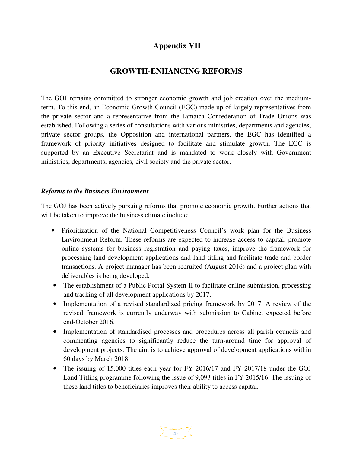## **Appendix VII**

### **GROWTH-ENHANCING REFORMS**

The GOJ remains committed to stronger economic growth and job creation over the mediumterm. To this end, an Economic Growth Council (EGC) made up of largely representatives from the private sector and a representative from the Jamaica Confederation of Trade Unions was established. Following a series of consultations with various ministries, departments and agencies, private sector groups, the Opposition and international partners, the EGC has identified a framework of priority initiatives designed to facilitate and stimulate growth. The EGC is supported by an Executive Secretariat and is mandated to work closely with Government ministries, departments, agencies, civil society and the private sector.

#### *Reforms to the Business Environment*

The GOJ has been actively pursuing reforms that promote economic growth. Further actions that will be taken to improve the business climate include:

- Prioritization of the National Competitiveness Council's work plan for the Business Environment Reform. These reforms are expected to increase access to capital, promote online systems for business registration and paying taxes, improve the framework for processing land development applications and land titling and facilitate trade and border transactions. A project manager has been recruited (August 2016) and a project plan with deliverables is being developed.
- The establishment of a Public Portal System II to facilitate online submission, processing and tracking of all development applications by 2017.
- Implementation of a revised standardized pricing framework by 2017. A review of the revised framework is currently underway with submission to Cabinet expected before end-October 2016.
- Implementation of standardised processes and procedures across all parish councils and commenting agencies to significantly reduce the turn-around time for approval of development projects. The aim is to achieve approval of development applications within 60 days by March 2018.
- The issuing of 15,000 titles each year for FY 2016/17 and FY 2017/18 under the GOJ Land Titling programme following the issue of 9,093 titles in FY 2015/16. The issuing of these land titles to beneficiaries improves their ability to access capital.

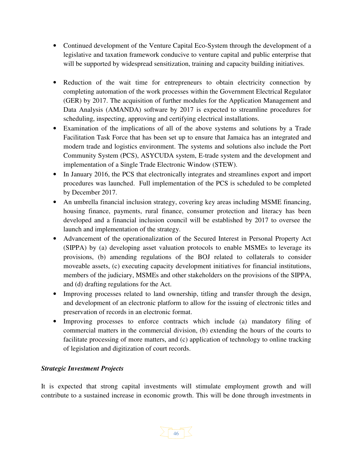- Continued development of the Venture Capital Eco-System through the development of a legislative and taxation framework conducive to venture capital and public enterprise that will be supported by widespread sensitization, training and capacity building initiatives.
- Reduction of the wait time for entrepreneurs to obtain electricity connection by completing automation of the work processes within the Government Electrical Regulator (GER) by 2017. The acquisition of further modules for the Application Management and Data Analysis (AMANDA) software by 2017 is expected to streamline procedures for scheduling, inspecting, approving and certifying electrical installations.
- Examination of the implications of all of the above systems and solutions by a Trade Facilitation Task Force that has been set up to ensure that Jamaica has an integrated and modern trade and logistics environment. The systems and solutions also include the Port Community System (PCS), ASYCUDA system, E-trade system and the development and implementation of a Single Trade Electronic Window (STEW).
- In January 2016, the PCS that electronically integrates and streamlines export and import procedures was launched. Full implementation of the PCS is scheduled to be completed by December 2017.
- An umbrella financial inclusion strategy, covering key areas including MSME financing, housing finance, payments, rural finance, consumer protection and literacy has been developed and a financial inclusion council will be established by 2017 to oversee the launch and implementation of the strategy.
- Advancement of the operationalization of the Secured Interest in Personal Property Act (SIPPA) by (a) developing asset valuation protocols to enable MSMEs to leverage its provisions, (b) amending regulations of the BOJ related to collaterals to consider moveable assets, (c) executing capacity development initiatives for financial institutions, members of the judiciary, MSMEs and other stakeholders on the provisions of the SIPPA, and (d) drafting regulations for the Act.
- Improving processes related to land ownership, titling and transfer through the design, and development of an electronic platform to allow for the issuing of electronic titles and preservation of records in an electronic format.
- Improving processes to enforce contracts which include (a) mandatory filing of commercial matters in the commercial division, (b) extending the hours of the courts to facilitate processing of more matters, and (c) application of technology to online tracking of legislation and digitization of court records.

#### *Strategic Investment Projects*

It is expected that strong capital investments will stimulate employment growth and will contribute to a sustained increase in economic growth. This will be done through investments in